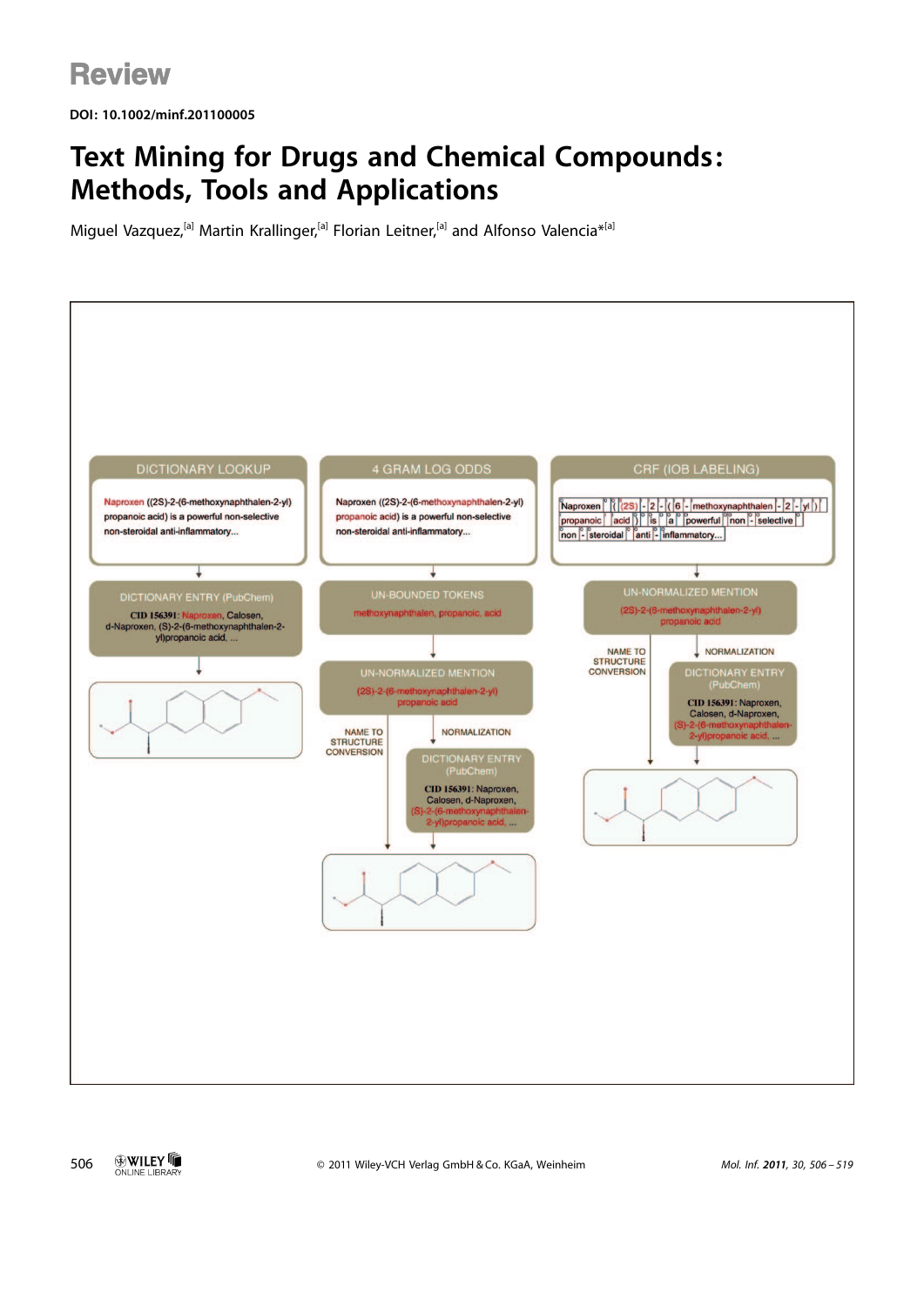DOI: 10.1002/minf.201100005

# Text Mining for Drugs and Chemical Compounds: Methods, Tools and Applications

Miguel Vazquez,<sup>[a]</sup> Martin Krallinger,<sup>[a]</sup> Florian Leitner,<sup>[a]</sup> and Alfonso Valencia<sup>\*[a]</sup>

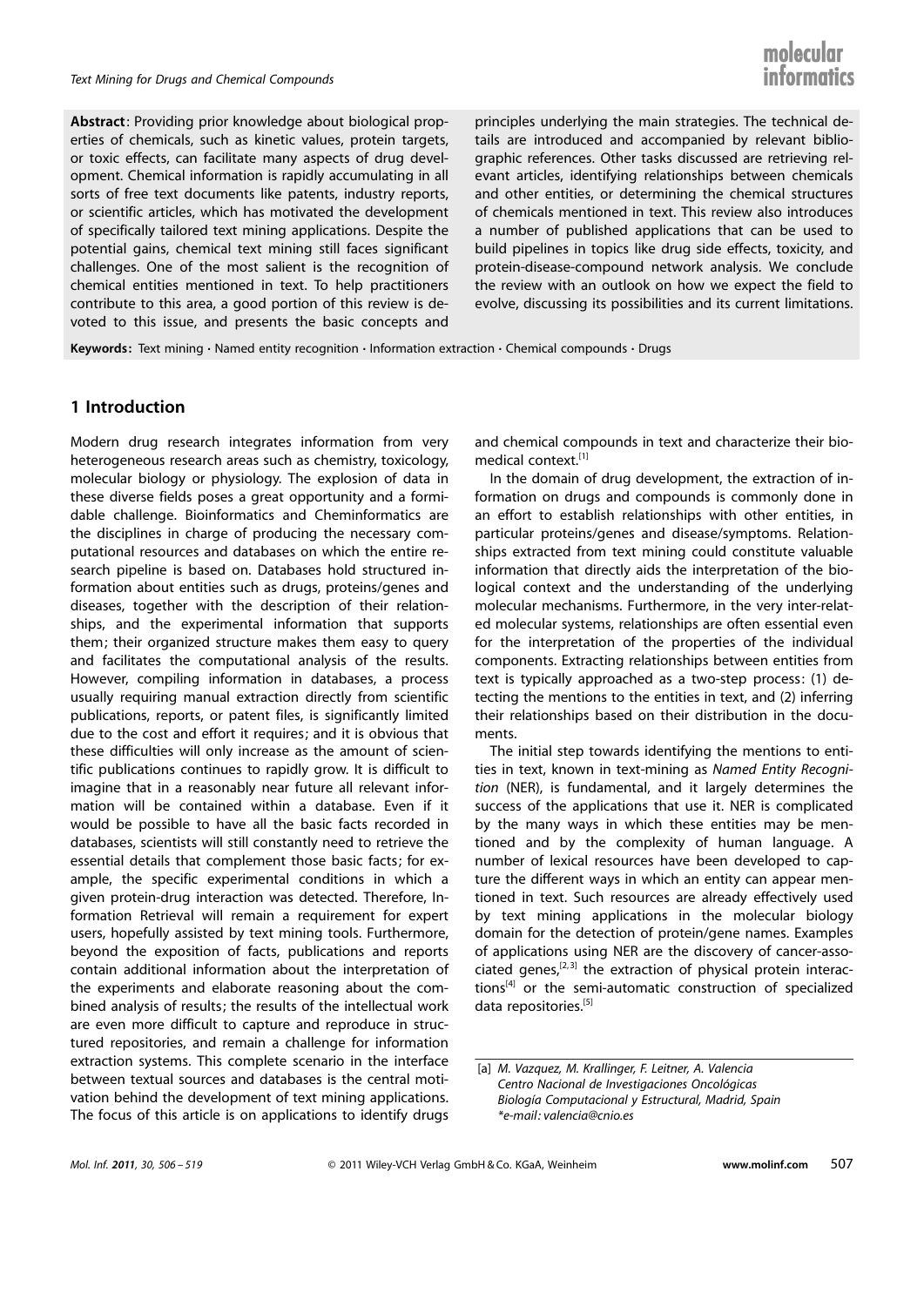Abstract: Providing prior knowledge about biological properties of chemicals, such as kinetic values, protein targets, or toxic effects, can facilitate many aspects of drug development. Chemical information is rapidly accumulating in all sorts of free text documents like patents, industry reports, or scientific articles, which has motivated the development of specifically tailored text mining applications. Despite the potential gains, chemical text mining still faces significant challenges. One of the most salient is the recognition of chemical entities mentioned in text. To help practitioners contribute to this area, a good portion of this review is devoted to this issue, and presents the basic concepts and

principles underlying the main strategies. The technical details are introduced and accompanied by relevant bibliographic references. Other tasks discussed are retrieving relevant articles, identifying relationships between chemicals and other entities, or determining the chemical structures of chemicals mentioned in text. This review also introduces a number of published applications that can be used to build pipelines in topics like drug side effects, toxicity, and protein-disease-compound network analysis. We conclude the review with an outlook on how we expect the field to evolve, discussing its possibilities and its current limitations.

Keywords: Text mining · Named entity recognition · Information extraction · Chemical compounds · Drugs

### 1 Introduction

Modern drug research integrates information from very heterogeneous research areas such as chemistry, toxicology, molecular biology or physiology. The explosion of data in these diverse fields poses a great opportunity and a formidable challenge. Bioinformatics and Cheminformatics are the disciplines in charge of producing the necessary computational resources and databases on which the entire research pipeline is based on. Databases hold structured information about entities such as drugs, proteins/genes and diseases, together with the description of their relationships, and the experimental information that supports them; their organized structure makes them easy to query and facilitates the computational analysis of the results. However, compiling information in databases, a process usually requiring manual extraction directly from scientific publications, reports, or patent files, is significantly limited due to the cost and effort it requires; and it is obvious that these difficulties will only increase as the amount of scientific publications continues to rapidly grow. It is difficult to imagine that in a reasonably near future all relevant information will be contained within a database. Even if it would be possible to have all the basic facts recorded in databases, scientists will still constantly need to retrieve the essential details that complement those basic facts; for example, the specific experimental conditions in which a given protein-drug interaction was detected. Therefore, Information Retrieval will remain a requirement for expert users, hopefully assisted by text mining tools. Furthermore, beyond the exposition of facts, publications and reports contain additional information about the interpretation of the experiments and elaborate reasoning about the combined analysis of results; the results of the intellectual work are even more difficult to capture and reproduce in structured repositories, and remain a challenge for information extraction systems. This complete scenario in the interface between textual sources and databases is the central motivation behind the development of text mining applications. The focus of this article is on applications to identify drugs

and chemical compounds in text and characterize their biomedical context.[1]

In the domain of drug development, the extraction of information on drugs and compounds is commonly done in an effort to establish relationships with other entities, in particular proteins/genes and disease/symptoms. Relationships extracted from text mining could constitute valuable information that directly aids the interpretation of the biological context and the understanding of the underlying molecular mechanisms. Furthermore, in the very inter-related molecular systems, relationships are often essential even for the interpretation of the properties of the individual components. Extracting relationships between entities from text is typically approached as a two-step process: (1) detecting the mentions to the entities in text, and (2) inferring their relationships based on their distribution in the documents.

The initial step towards identifying the mentions to entities in text, known in text-mining as Named Entity Recognition (NER), is fundamental, and it largely determines the success of the applications that use it. NER is complicated by the many ways in which these entities may be mentioned and by the complexity of human language. A number of lexical resources have been developed to capture the different ways in which an entity can appear mentioned in text. Such resources are already effectively used by text mining applications in the molecular biology domain for the detection of protein/gene names. Examples of applications using NER are the discovery of cancer-associated genes,  $[2, 3]$  the extraction of physical protein interactions<sup>[4]</sup> or the semi-automatic construction of specialized data repositories.<sup>[5]</sup>

<sup>[</sup>a] M. Vazquez, M. Krallinger, F. Leitner, A. Valencia Centro Nacional de Investigaciones Oncológicas Biología Computacional y Estructural, Madrid, Spain \*e-mail: valencia@cnio.es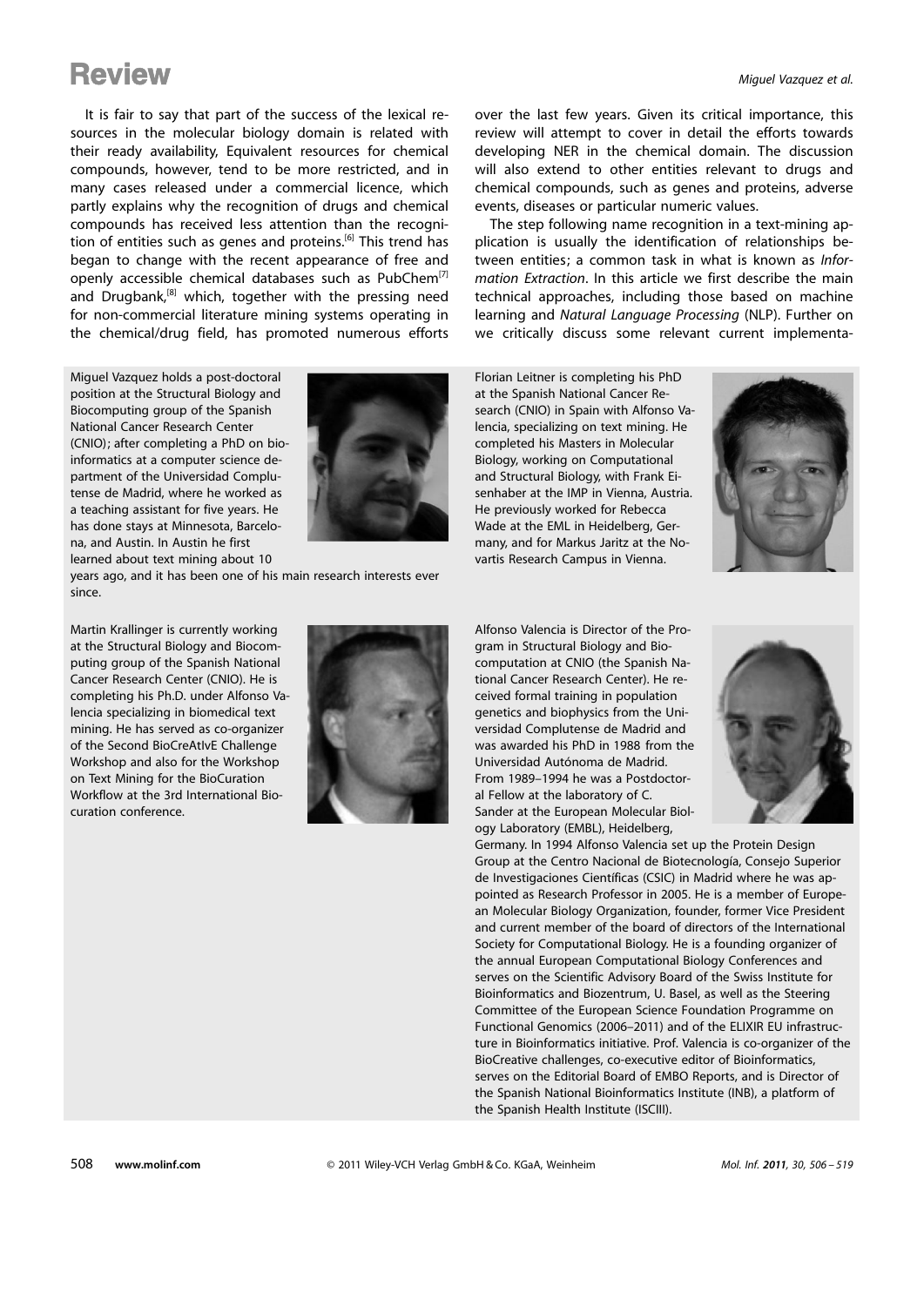It is fair to say that part of the success of the lexical resources in the molecular biology domain is related with their ready availability, Equivalent resources for chemical compounds, however, tend to be more restricted, and in many cases released under a commercial licence, which partly explains why the recognition of drugs and chemical compounds has received less attention than the recognition of entities such as genes and proteins.<sup>[6]</sup> This trend has began to change with the recent appearance of free and openly accessible chemical databases such as PubChem<sup>[7]</sup> and Drugbank,<sup>[8]</sup> which, together with the pressing need for non-commercial literature mining systems operating in the chemical/drug field, has promoted numerous efforts

Miguel Vazquez holds a post-doctoral position at the Structural Biology and Biocomputing group of the Spanish National Cancer Research Center (CNIO); after completing a PhD on bioinformatics at a computer science department of the Universidad Complutense de Madrid, where he worked as a teaching assistant for five years. He has done stays at Minnesota, Barcelona, and Austin. In Austin he first learned about text mining about 10



years ago, and it has been one of his main research interests ever since.

Martin Krallinger is currently working at the Structural Biology and Biocomputing group of the Spanish National Cancer Research Center (CNIO). He is completing his Ph.D. under Alfonso Valencia specializing in biomedical text mining. He has served as co-organizer of the Second BioCreAtIvE Challenge Workshop and also for the Workshop on Text Mining for the BioCuration Workflow at the 3rd International Biocuration conference.



over the last few years. Given its critical importance, this review will attempt to cover in detail the efforts towards developing NER in the chemical domain. The discussion will also extend to other entities relevant to drugs and chemical compounds, such as genes and proteins, adverse events, diseases or particular numeric values.

The step following name recognition in a text-mining application is usually the identification of relationships between entities; a common task in what is known as Information Extraction. In this article we first describe the main technical approaches, including those based on machine learning and Natural Language Processing (NLP). Further on we critically discuss some relevant current implementa-

Florian Leitner is completing his PhD at the Spanish National Cancer Research (CNIO) in Spain with Alfonso Valencia, specializing on text mining. He completed his Masters in Molecular Biology, working on Computational and Structural Biology, with Frank Eisenhaber at the IMP in Vienna, Austria. He previously worked for Rebecca Wade at the EML in Heidelberg, Germany, and for Markus Jaritz at the Novartis Research Campus in Vienna.



Alfonso Valencia is Director of the Program in Structural Biology and Biocomputation at CNIO (the Spanish National Cancer Research Center). He received formal training in population genetics and biophysics from the Universidad Complutense de Madrid and was awarded his PhD in 1988 from the Universidad Autónoma de Madrid. From 1989–1994 he was a Postdoctoral Fellow at the laboratory of C. Sander at the European Molecular Biology Laboratory (EMBL), Heidelberg,



Germany. In 1994 Alfonso Valencia set up the Protein Design Group at the Centro Nacional de Biotecnología, Consejo Superior de Investigaciones Cientficas (CSIC) in Madrid where he was appointed as Research Professor in 2005. He is a member of European Molecular Biology Organization, founder, former Vice President and current member of the board of directors of the International Society for Computational Biology. He is a founding organizer of the annual European Computational Biology Conferences and serves on the Scientific Advisory Board of the Swiss Institute for Bioinformatics and Biozentrum, U. Basel, as well as the Steering Committee of the European Science Foundation Programme on Functional Genomics (2006–2011) and of the ELIXIR EU infrastructure in Bioinformatics initiative. Prof. Valencia is co-organizer of the BioCreative challenges, co-executive editor of Bioinformatics, serves on the Editorial Board of EMBO Reports, and is Director of the Spanish National Bioinformatics Institute (INB), a platform of the Spanish Health Institute (ISCIII).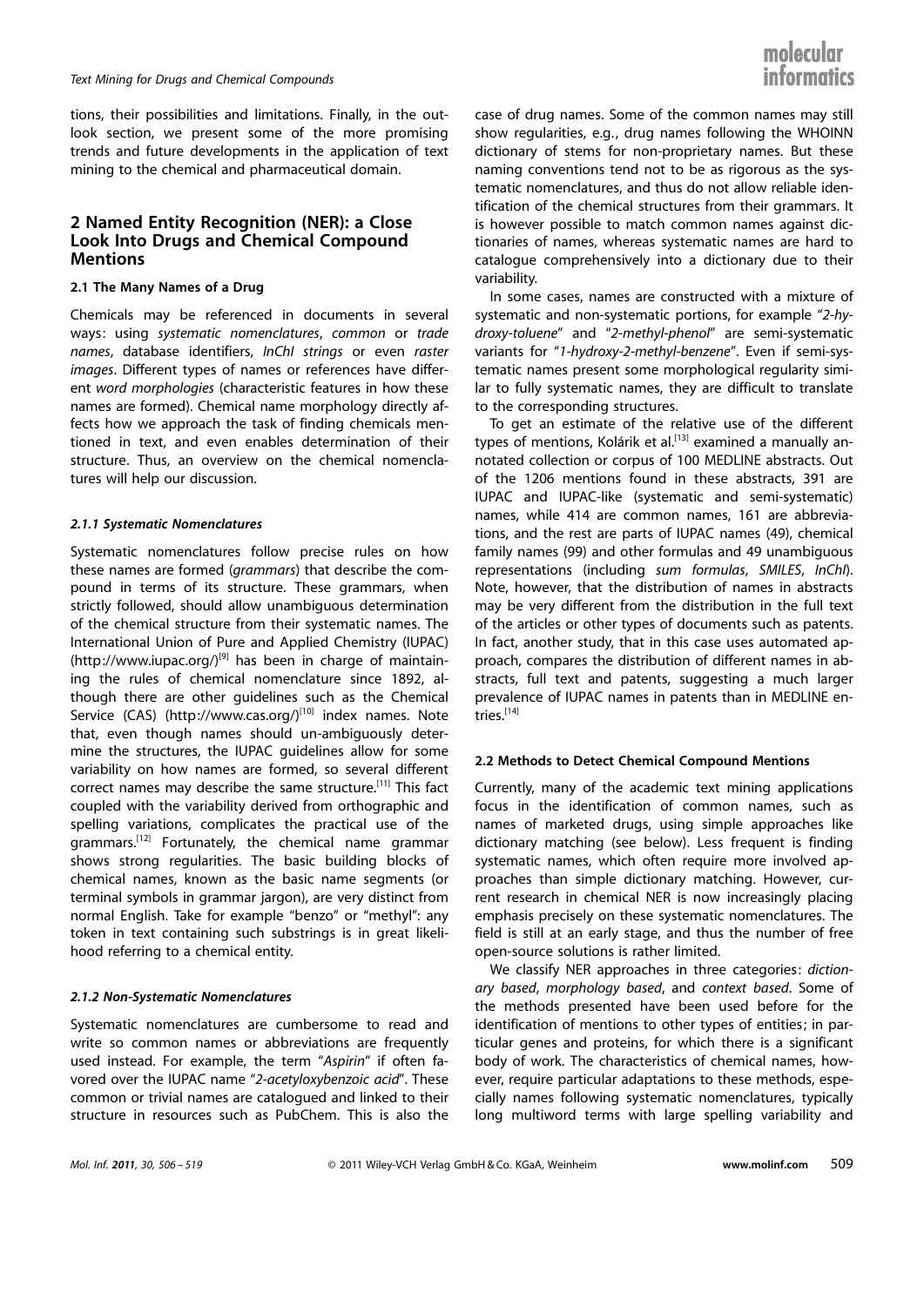tions, their possibilities and limitations. Finally, in the outlook section, we present some of the more promising trends and future developments in the application of text mining to the chemical and pharmaceutical domain.

### 2 Named Entity Recognition (NER): a Close Look Into Drugs and Chemical Compound Mentions

#### 2.1 The Many Names of a Drug

Chemicals may be referenced in documents in several ways: using systematic nomenclatures, common or trade names, database identifiers, InChI strings or even raster images. Different types of names or references have different word morphologies (characteristic features in how these names are formed). Chemical name morphology directly affects how we approach the task of finding chemicals mentioned in text, and even enables determination of their structure. Thus, an overview on the chemical nomenclatures will help our discussion.

#### 2.1.1 Systematic Nomenclatures

Systematic nomenclatures follow precise rules on how these names are formed (grammars) that describe the compound in terms of its structure. These grammars, when strictly followed, should allow unambiguous determination of the chemical structure from their systematic names. The International Union of Pure and Applied Chemistry (IUPAC) (http://www.iupac.org/)<sup>[9]</sup> has been in charge of maintaining the rules of chemical nomenclature since 1892, although there are other guidelines such as the Chemical Service (CAS) (http://www.cas.org/)<sup>[10]</sup> index names. Note that, even though names should un-ambiguously determine the structures, the IUPAC guidelines allow for some variability on how names are formed, so several different correct names may describe the same structure.<sup>[11]</sup> This fact coupled with the variability derived from orthographic and spelling variations, complicates the practical use of the grammars.[12] Fortunately, the chemical name grammar shows strong regularities. The basic building blocks of chemical names, known as the basic name segments (or terminal symbols in grammar jargon), are very distinct from normal English. Take for example "benzo" or "methyl": any token in text containing such substrings is in great likelihood referring to a chemical entity.

#### 2.1.2 Non-Systematic Nomenclatures

Systematic nomenclatures are cumbersome to read and write so common names or abbreviations are frequently used instead. For example, the term "Aspirin" if often favored over the IUPAC name "2-acetyloxybenzoic acid". These common or trivial names are catalogued and linked to their structure in resources such as PubChem. This is also the case of drug names. Some of the common names may still show regularities, e.g., drug names following the WHOINN dictionary of stems for non-proprietary names. But these naming conventions tend not to be as rigorous as the systematic nomenclatures, and thus do not allow reliable identification of the chemical structures from their grammars. It is however possible to match common names against dictionaries of names, whereas systematic names are hard to catalogue comprehensively into a dictionary due to their variability.

In some cases, names are constructed with a mixture of systematic and non-systematic portions, for example "2-hydroxy-toluene" and "2-methyl-phenol" are semi-systematic variants for "1-hydroxy-2-methyl-benzene". Even if semi-systematic names present some morphological regularity similar to fully systematic names, they are difficult to translate to the corresponding structures.

To get an estimate of the relative use of the different types of mentions, Kolárik et al.<sup>[13]</sup> examined a manually annotated collection or corpus of 100 MEDLINE abstracts. Out of the 1206 mentions found in these abstracts, 391 are IUPAC and IUPAC-like (systematic and semi-systematic) names, while 414 are common names, 161 are abbreviations, and the rest are parts of IUPAC names (49), chemical family names (99) and other formulas and 49 unambiguous representations (including sum formulas, SMILES, InChI). Note, however, that the distribution of names in abstracts may be very different from the distribution in the full text of the articles or other types of documents such as patents. In fact, another study, that in this case uses automated approach, compares the distribution of different names in abstracts, full text and patents, suggesting a much larger prevalence of IUPAC names in patents than in MEDLINE entries.[14]

#### 2.2 Methods to Detect Chemical Compound Mentions

Currently, many of the academic text mining applications focus in the identification of common names, such as names of marketed drugs, using simple approaches like dictionary matching (see below). Less frequent is finding systematic names, which often require more involved approaches than simple dictionary matching. However, current research in chemical NER is now increasingly placing emphasis precisely on these systematic nomenclatures. The field is still at an early stage, and thus the number of free open-source solutions is rather limited.

We classify NER approaches in three categories: dictionary based, morphology based, and context based. Some of the methods presented have been used before for the identification of mentions to other types of entities; in particular genes and proteins, for which there is a significant body of work. The characteristics of chemical names, however, require particular adaptations to these methods, especially names following systematic nomenclatures, typically long multiword terms with large spelling variability and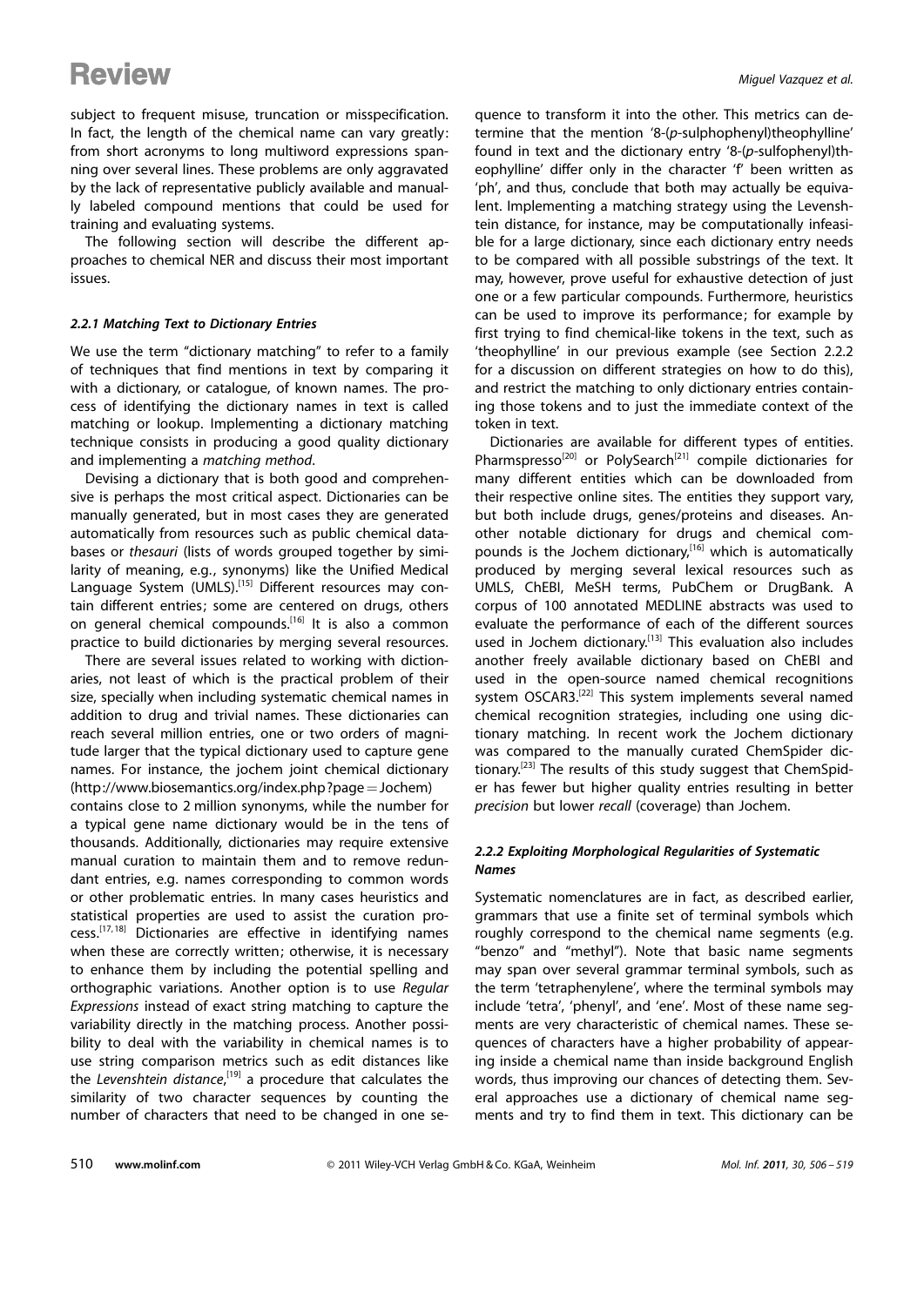subject to frequent misuse, truncation or misspecification. In fact, the length of the chemical name can vary greatly: from short acronyms to long multiword expressions spanning over several lines. These problems are only aggravated by the lack of representative publicly available and manually labeled compound mentions that could be used for training and evaluating systems.

The following section will describe the different approaches to chemical NER and discuss their most important issues.

#### 2.2.1 Matching Text to Dictionary Entries

We use the term "dictionary matching" to refer to a family of techniques that find mentions in text by comparing it with a dictionary, or catalogue, of known names. The process of identifying the dictionary names in text is called matching or lookup. Implementing a dictionary matching technique consists in producing a good quality dictionary and implementing a matching method.

Devising a dictionary that is both good and comprehensive is perhaps the most critical aspect. Dictionaries can be manually generated, but in most cases they are generated automatically from resources such as public chemical databases or thesauri (lists of words grouped together by similarity of meaning, e.g., synonyms) like the Unified Medical Language System (UMLS).<sup>[15]</sup> Different resources mav contain different entries; some are centered on drugs, others on general chemical compounds.[16] It is also a common practice to build dictionaries by merging several resources.

There are several issues related to working with dictionaries, not least of which is the practical problem of their size, specially when including systematic chemical names in addition to drug and trivial names. These dictionaries can reach several million entries, one or two orders of magnitude larger that the typical dictionary used to capture gene names. For instance, the jochem joint chemical dictionary (http://www.biosemantics.org/index.php?page=Jochem)

contains close to 2 million synonyms, while the number for a typical gene name dictionary would be in the tens of thousands. Additionally, dictionaries may require extensive manual curation to maintain them and to remove redundant entries, e.g. names corresponding to common words or other problematic entries. In many cases heuristics and statistical properties are used to assist the curation process.<sup>[17,18]</sup> Dictionaries are effective in identifying names when these are correctly written; otherwise, it is necessary to enhance them by including the potential spelling and orthographic variations. Another option is to use Regular Expressions instead of exact string matching to capture the variability directly in the matching process. Another possibility to deal with the variability in chemical names is to use string comparison metrics such as edit distances like the Levenshtein distance,<sup>[19]</sup> a procedure that calculates the similarity of two character sequences by counting the number of characters that need to be changed in one sequence to transform it into the other. This metrics can determine that the mention '8-(p-sulphophenyl)theophylline' found in text and the dictionary entry '8-(p-sulfophenyl)theophylline' differ only in the character 'f' been written as 'ph', and thus, conclude that both may actually be equivalent. Implementing a matching strategy using the Levenshtein distance, for instance, may be computationally infeasible for a large dictionary, since each dictionary entry needs to be compared with all possible substrings of the text. It may, however, prove useful for exhaustive detection of just one or a few particular compounds. Furthermore, heuristics can be used to improve its performance; for example by first trying to find chemical-like tokens in the text, such as 'theophylline' in our previous example (see Section 2.2.2 for a discussion on different strategies on how to do this), and restrict the matching to only dictionary entries containing those tokens and to just the immediate context of the token in text.

Dictionaries are available for different types of entities. Pharmspresso<sup>[20]</sup> or PolySearch<sup>[21]</sup> compile dictionaries for many different entities which can be downloaded from their respective online sites. The entities they support vary, but both include drugs, genes/proteins and diseases. Another notable dictionary for drugs and chemical compounds is the Jochem dictionary,  $[16]$  which is automatically produced by merging several lexical resources such as UMLS, ChEBI, MeSH terms, PubChem or DrugBank. A corpus of 100 annotated MEDLINE abstracts was used to evaluate the performance of each of the different sources used in Jochem dictionary.<sup>[13]</sup> This evaluation also includes another freely available dictionary based on ChEBI and used in the open-source named chemical recognitions system OSCAR3.[22] This system implements several named chemical recognition strategies, including one using dictionary matching. In recent work the Jochem dictionary was compared to the manually curated ChemSpider dictionary.<sup>[23]</sup> The results of this study suggest that ChemSpider has fewer but higher quality entries resulting in better precision but lower recall (coverage) than Jochem.

#### 2.2.2 Exploiting Morphological Regularities of Systematic Names

Systematic nomenclatures are in fact, as described earlier, grammars that use a finite set of terminal symbols which roughly correspond to the chemical name segments (e.g. "benzo" and "methyl"). Note that basic name segments may span over several grammar terminal symbols, such as the term 'tetraphenylene', where the terminal symbols may include 'tetra', 'phenyl', and 'ene'. Most of these name segments are very characteristic of chemical names. These sequences of characters have a higher probability of appearing inside a chemical name than inside background English words, thus improving our chances of detecting them. Several approaches use a dictionary of chemical name segments and try to find them in text. This dictionary can be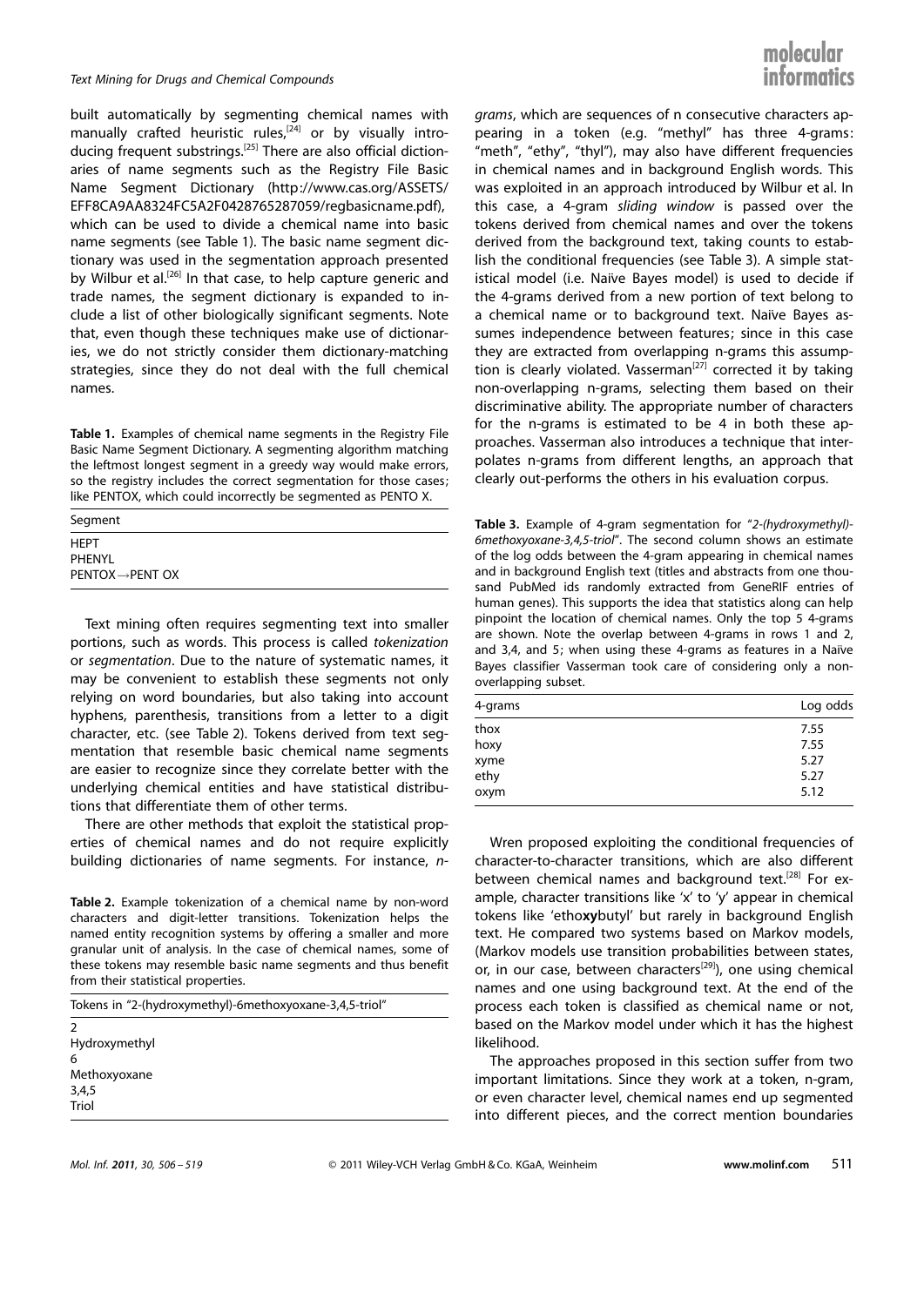built automatically by segmenting chemical names with manually crafted heuristic rules,<sup>[24]</sup> or by visually introducing frequent substrings.[25] There are also official dictionaries of name segments such as the Registry File Basic Name Segment Dictionary (http://www.cas.org/ASSETS/ EFF8CA9AA8324FC5A2F0428765287059/regbasicname.pdf), which can be used to divide a chemical name into basic name segments (see Table 1). The basic name segment dictionary was used in the segmentation approach presented by Wilbur et al.<sup>[26]</sup> In that case, to help capture generic and trade names, the segment dictionary is expanded to include a list of other biologically significant segments. Note that, even though these techniques make use of dictionaries, we do not strictly consider them dictionary-matching strategies, since they do not deal with the full chemical names.

Table 1. Examples of chemical name segments in the Registry File Basic Name Segment Dictionary. A segmenting algorithm matching the leftmost longest segment in a greedy way would make errors, so the registry includes the correct segmentation for those cases; like PENTOX, which could incorrectly be segmented as PENTO X.

| Segment                     |  |  |
|-----------------------------|--|--|
| <b>HFPT</b>                 |  |  |
| <b>PHENYL</b>               |  |  |
| $PENTOX \rightarrow PENTOX$ |  |  |
|                             |  |  |

Text mining often requires segmenting text into smaller portions, such as words. This process is called tokenization or segmentation. Due to the nature of systematic names, it may be convenient to establish these segments not only relying on word boundaries, but also taking into account hyphens, parenthesis, transitions from a letter to a digit character, etc. (see Table 2). Tokens derived from text segmentation that resemble basic chemical name segments are easier to recognize since they correlate better with the underlying chemical entities and have statistical distributions that differentiate them of other terms.

There are other methods that exploit the statistical properties of chemical names and do not require explicitly building dictionaries of name segments. For instance, n-

Table 2. Example tokenization of a chemical name by non-word characters and digit-letter transitions. Tokenization helps the named entity recognition systems by offering a smaller and more granular unit of analysis. In the case of chemical names, some of these tokens may resemble basic name segments and thus benefit from their statistical properties.

| Tokens in "2-(hydroxymethyl)-6methoxyoxane-3,4,5-triol" |  |
|---------------------------------------------------------|--|
| 2                                                       |  |
| Hydroxymethyl                                           |  |
| 6                                                       |  |
| Methoxyoxane                                            |  |
| 3,4,5                                                   |  |
| Triol                                                   |  |
|                                                         |  |

# molecular

grams, which are sequences of n consecutive characters appearing in a token (e.g. "methyl" has three 4-grams: "meth", "ethy", "thyl"), may also have different frequencies in chemical names and in background English words. This was exploited in an approach introduced by Wilbur et al. In this case, a 4-gram sliding window is passed over the tokens derived from chemical names and over the tokens derived from the background text, taking counts to establish the conditional frequencies (see Table 3). A simple statistical model (i.e. Naive Bayes model) is used to decide if the 4-grams derived from a new portion of text belong to a chemical name or to background text. Naive Bayes assumes independence between features; since in this case they are extracted from overlapping n-grams this assumption is clearly violated. Vasserman<sup>[27]</sup> corrected it by taking non-overlapping n-grams, selecting them based on their discriminative ability. The appropriate number of characters for the n-grams is estimated to be 4 in both these approaches. Vasserman also introduces a technique that interpolates n-grams from different lengths, an approach that clearly out-performs the others in his evaluation corpus.

Table 3. Example of 4-gram segmentation for "2-(hydroxymethyl)- 6methoxyoxane-3,4,5-triol". The second column shows an estimate of the log odds between the 4-gram appearing in chemical names and in background English text (titles and abstracts from one thousand PubMed ids randomly extracted from GeneRIF entries of human genes). This supports the idea that statistics along can help pinpoint the location of chemical names. Only the top 5 4-grams are shown. Note the overlap between 4-grams in rows 1 and 2, and 3,4, and 5; when using these 4-grams as features in a Naïve Bayes classifier Vasserman took care of considering only a nonoverlapping subset.

| 4-grams | Log odds |
|---------|----------|
| thox    | 7.55     |
| hoxy    | 7.55     |
| xyme    | 5.27     |
| ethy    | 5.27     |
| oxym    | 5.12     |

Wren proposed exploiting the conditional frequencies of character-to-character transitions, which are also different between chemical names and background text.<sup>[28]</sup> For example, character transitions like 'x' to 'y' appear in chemical tokens like 'ethoxybutyl' but rarely in background English text. He compared two systems based on Markov models, (Markov models use transition probabilities between states, or, in our case, between characters<sup>[29]</sup>), one using chemical names and one using background text. At the end of the process each token is classified as chemical name or not, based on the Markov model under which it has the highest likelihood.

The approaches proposed in this section suffer from two important limitations. Since they work at a token, n-gram, or even character level, chemical names end up segmented into different pieces, and the correct mention boundaries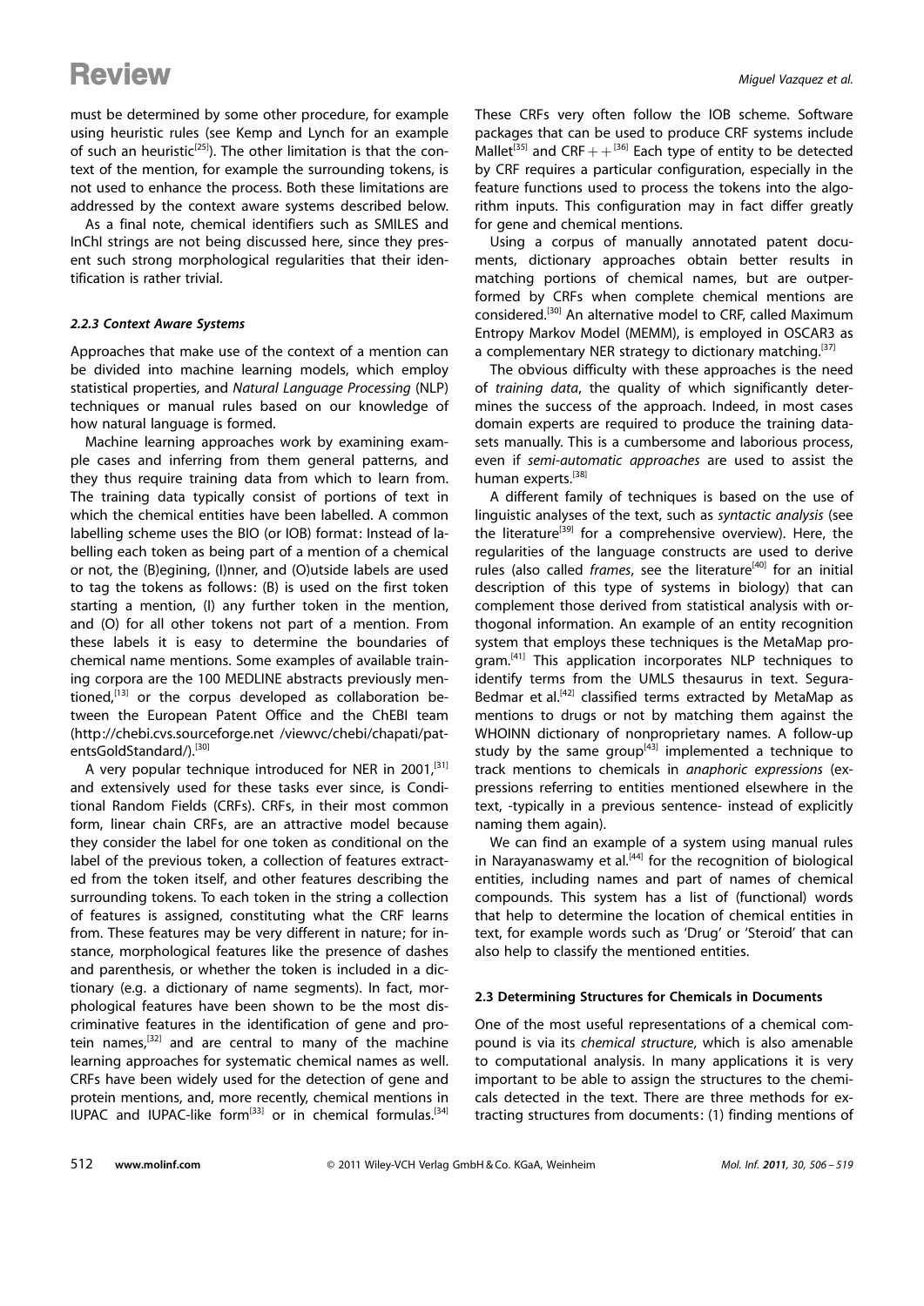must be determined by some other procedure, for example using heuristic rules (see Kemp and Lynch for an example of such an heuristic<sup>[25]</sup>). The other limitation is that the context of the mention, for example the surrounding tokens, is not used to enhance the process. Both these limitations are addressed by the context aware systems described below.

As a final note, chemical identifiers such as SMILES and InChI strings are not being discussed here, since they present such strong morphological regularities that their identification is rather trivial.

#### 2.2.3 Context Aware Systems

Approaches that make use of the context of a mention can be divided into machine learning models, which employ statistical properties, and Natural Language Processing (NLP) techniques or manual rules based on our knowledge of how natural language is formed.

Machine learning approaches work by examining example cases and inferring from them general patterns, and they thus require training data from which to learn from. The training data typically consist of portions of text in which the chemical entities have been labelled. A common labelling scheme uses the BIO (or IOB) format: Instead of labelling each token as being part of a mention of a chemical or not, the (B)egining, (I)nner, and (O)utside labels are used to tag the tokens as follows: (B) is used on the first token starting a mention, (I) any further token in the mention, and (O) for all other tokens not part of a mention. From these labels it is easy to determine the boundaries of chemical name mentions. Some examples of available training corpora are the 100 MEDLINE abstracts previously mentioned, $[13]$  or the corpus developed as collaboration between the European Patent Office and the ChEBI team (http://chebi.cvs.sourceforge.net /viewvc/chebi/chapati/patentsGoldStandard/).<sup>[30]</sup>

A very popular technique introduced for NER in 2001, [31] and extensively used for these tasks ever since, is Conditional Random Fields (CRFs). CRFs, in their most common form, linear chain CRFs, are an attractive model because they consider the label for one token as conditional on the label of the previous token, a collection of features extracted from the token itself, and other features describing the surrounding tokens. To each token in the string a collection of features is assigned, constituting what the CRF learns from. These features may be very different in nature; for instance, morphological features like the presence of dashes and parenthesis, or whether the token is included in a dictionary (e.g. a dictionary of name segments). In fact, morphological features have been shown to be the most discriminative features in the identification of gene and protein names, $^{[32]}$  and are central to many of the machine learning approaches for systematic chemical names as well. CRFs have been widely used for the detection of gene and protein mentions, and, more recently, chemical mentions in IUPAC and IUPAC-like form<sup>[33]</sup> or in chemical formulas.<sup>[34]</sup>

These CRFs very often follow the IOB scheme. Software packages that can be used to produce CRF systems include Mallet<sup>[35]</sup> and CRF + + <sup>[36]</sup> Each type of entity to be detected by CRF requires a particular configuration, especially in the feature functions used to process the tokens into the algorithm inputs. This configuration may in fact differ greatly for gene and chemical mentions.

Using a corpus of manually annotated patent documents, dictionary approaches obtain better results in matching portions of chemical names, but are outperformed by CRFs when complete chemical mentions are considered.[30] An alternative model to CRF, called Maximum Entropy Markov Model (MEMM), is employed in OSCAR3 as a complementary NER strategy to dictionary matching.<sup>[37]</sup>

The obvious difficulty with these approaches is the need of training data, the quality of which significantly determines the success of the approach. Indeed, in most cases domain experts are required to produce the training datasets manually. This is a cumbersome and laborious process, even if semi-automatic approaches are used to assist the human experts.<sup>[38]</sup>

A different family of techniques is based on the use of linguistic analyses of the text, such as syntactic analysis (see the literature<sup>[39]</sup> for a comprehensive overview). Here, the regularities of the language constructs are used to derive rules (also called *frames*, see the literature<sup>[40]</sup> for an initial description of this type of systems in biology) that can complement those derived from statistical analysis with orthogonal information. An example of an entity recognition system that employs these techniques is the MetaMap program.<sup>[41]</sup> This application incorporates NLP techniques to identify terms from the UMLS thesaurus in text. Segura-Bedmar et al.<sup>[42]</sup> classified terms extracted by MetaMap as mentions to drugs or not by matching them against the WHOINN dictionary of nonproprietary names. A follow-up study by the same group $[43]$  implemented a technique to track mentions to chemicals in anaphoric expressions (expressions referring to entities mentioned elsewhere in the text, -typically in a previous sentence- instead of explicitly naming them again).

We can find an example of a system using manual rules in Narayanaswamy et al. $[44]$  for the recognition of biological entities, including names and part of names of chemical compounds. This system has a list of (functional) words that help to determine the location of chemical entities in text, for example words such as 'Drug' or 'Steroid' that can also help to classify the mentioned entities.

#### 2.3 Determining Structures for Chemicals in Documents

One of the most useful representations of a chemical compound is via its chemical structure, which is also amenable to computational analysis. In many applications it is very important to be able to assign the structures to the chemicals detected in the text. There are three methods for extracting structures from documents: (1) finding mentions of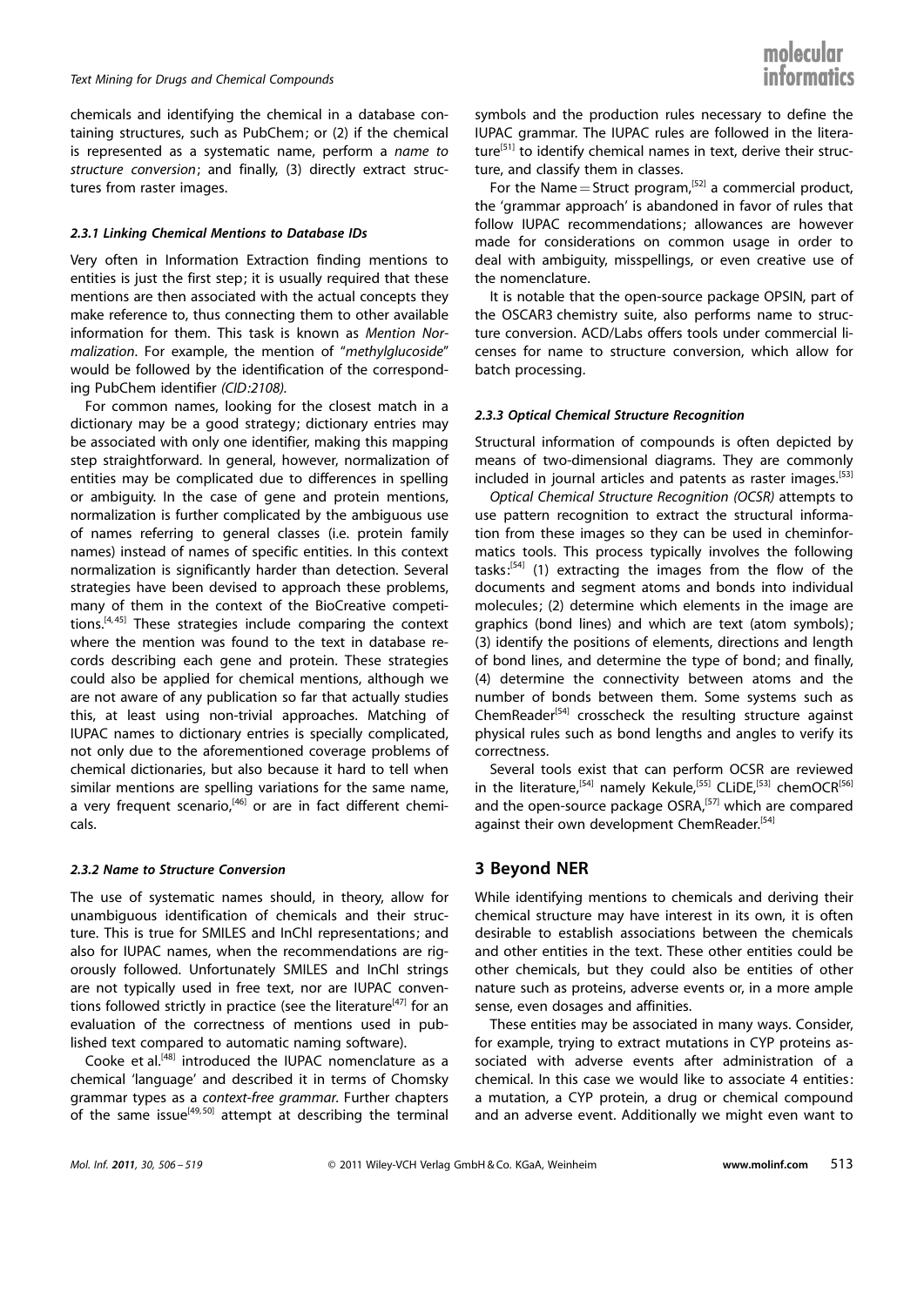chemicals and identifying the chemical in a database containing structures, such as PubChem; or (2) if the chemical is represented as a systematic name, perform a name to structure conversion; and finally, (3) directly extract structures from raster images.

#### 2.3.1 Linking Chemical Mentions to Database IDs

Very often in Information Extraction finding mentions to entities is just the first step; it is usually required that these mentions are then associated with the actual concepts they make reference to, thus connecting them to other available information for them. This task is known as Mention Normalization. For example, the mention of "methylglucoside" would be followed by the identification of the corresponding PubChem identifier (CID:2108).

For common names, looking for the closest match in a dictionary may be a good strategy; dictionary entries may be associated with only one identifier, making this mapping step straightforward. In general, however, normalization of entities may be complicated due to differences in spelling or ambiguity. In the case of gene and protein mentions, normalization is further complicated by the ambiguous use of names referring to general classes (i.e. protein family names) instead of names of specific entities. In this context normalization is significantly harder than detection. Several strategies have been devised to approach these problems, many of them in the context of the BioCreative competitions.<sup>[4, 45]</sup> These strategies include comparing the context where the mention was found to the text in database records describing each gene and protein. These strategies could also be applied for chemical mentions, although we are not aware of any publication so far that actually studies this, at least using non-trivial approaches. Matching of IUPAC names to dictionary entries is specially complicated, not only due to the aforementioned coverage problems of chemical dictionaries, but also because it hard to tell when similar mentions are spelling variations for the same name, a very frequent scenario,  $[46]$  or are in fact different chemicals.

#### 2.3.2 Name to Structure Conversion

The use of systematic names should, in theory, allow for unambiguous identification of chemicals and their structure. This is true for SMILES and InChI representations; and also for IUPAC names, when the recommendations are rigorously followed. Unfortunately SMILES and InChI strings are not typically used in free text, nor are IUPAC conventions followed strictly in practice (see the literature<sup>[47]</sup> for an evaluation of the correctness of mentions used in published text compared to automatic naming software).

Cooke et al.<sup>[48]</sup> introduced the IUPAC nomenclature as a chemical 'language' and described it in terms of Chomsky grammar types as a context-free grammar. Further chapters of the same issue<sup>[49, 50]</sup> attempt at describing the terminal symbols and the production rules necessary to define the IUPAC grammar. The IUPAC rules are followed in the literature $[51]$  to identify chemical names in text, derive their structure, and classify them in classes.

For the Name=Struct program, $[52]$  a commercial product, the 'grammar approach' is abandoned in favor of rules that follow IUPAC recommendations; allowances are however made for considerations on common usage in order to deal with ambiguity, misspellings, or even creative use of the nomenclature.

It is notable that the open-source package OPSIN, part of the OSCAR3 chemistry suite, also performs name to structure conversion. ACD/Labs offers tools under commercial licenses for name to structure conversion, which allow for batch processing.

#### 2.3.3 Optical Chemical Structure Recognition

Structural information of compounds is often depicted by means of two-dimensional diagrams. They are commonly included in journal articles and patents as raster images.<sup>[53]</sup>

Optical Chemical Structure Recognition (OCSR) attempts to use pattern recognition to extract the structural information from these images so they can be used in cheminformatics tools. This process typically involves the following tasks: $[54]$  (1) extracting the images from the flow of the documents and segment atoms and bonds into individual molecules; (2) determine which elements in the image are graphics (bond lines) and which are text (atom symbols); (3) identify the positions of elements, directions and length of bond lines, and determine the type of bond; and finally, (4) determine the connectivity between atoms and the number of bonds between them. Some systems such as ChemReader<sup>[54]</sup> crosscheck the resulting structure against physical rules such as bond lengths and angles to verify its correctness.

Several tools exist that can perform OCSR are reviewed in the literature,<sup>[54]</sup> namely Kekule,<sup>[55]</sup> CLiDE,<sup>[53]</sup> chemOCR<sup>[56]</sup> and the open-source package OSRA,<sup>[57]</sup> which are compared against their own development ChemReader.<sup>[54]</sup>

#### 3 Beyond NER

While identifying mentions to chemicals and deriving their chemical structure may have interest in its own, it is often desirable to establish associations between the chemicals and other entities in the text. These other entities could be other chemicals, but they could also be entities of other nature such as proteins, adverse events or, in a more ample sense, even dosages and affinities.

These entities may be associated in many ways. Consider, for example, trying to extract mutations in CYP proteins associated with adverse events after administration of a chemical. In this case we would like to associate 4 entities: a mutation, a CYP protein, a drug or chemical compound and an adverse event. Additionally we might even want to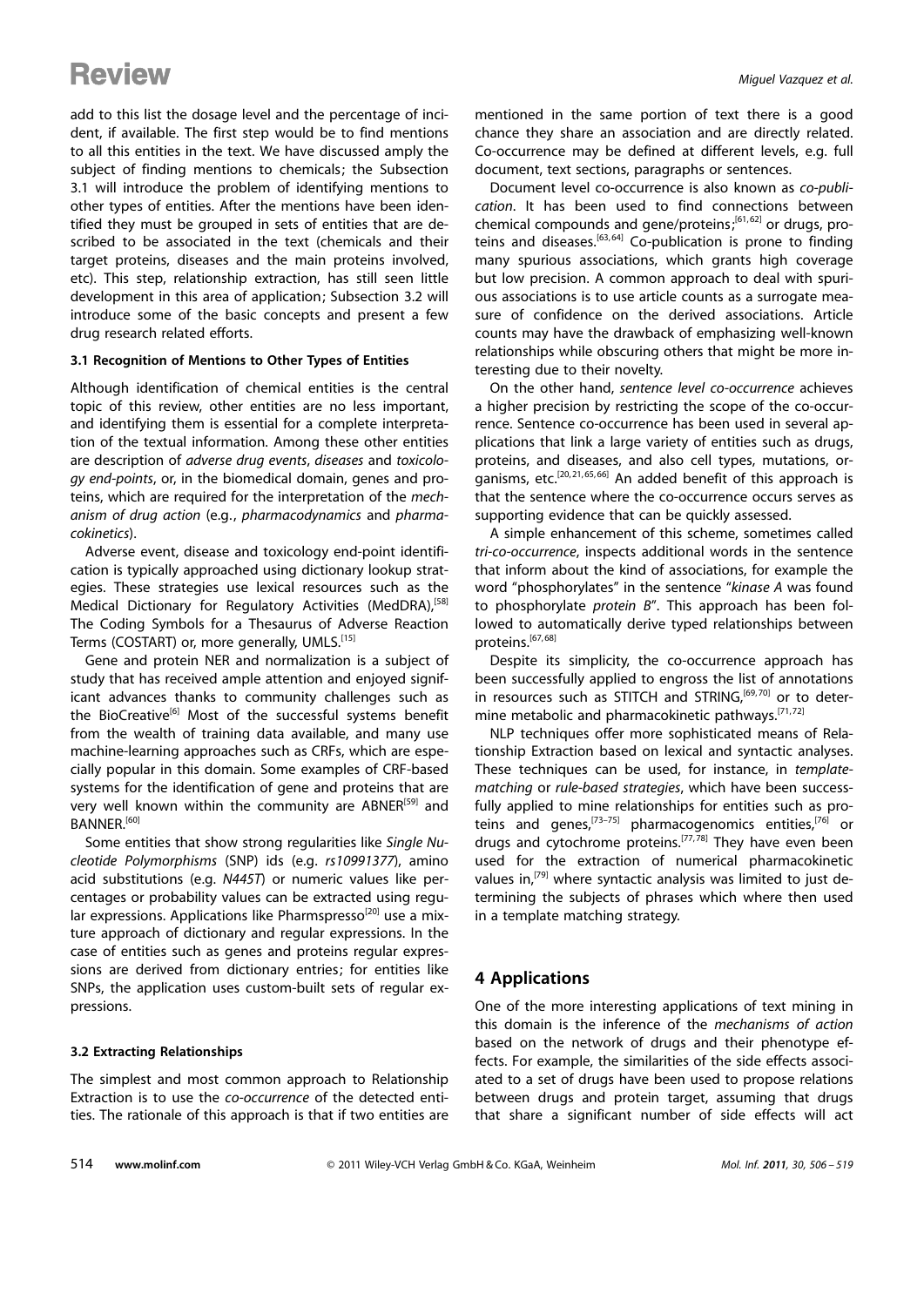add to this list the dosage level and the percentage of incident, if available. The first step would be to find mentions to all this entities in the text. We have discussed amply the subject of finding mentions to chemicals; the Subsection 3.1 will introduce the problem of identifying mentions to other types of entities. After the mentions have been identified they must be grouped in sets of entities that are described to be associated in the text (chemicals and their target proteins, diseases and the main proteins involved, etc). This step, relationship extraction, has still seen little development in this area of application; Subsection 3.2 will introduce some of the basic concepts and present a few drug research related efforts.

#### 3.1 Recognition of Mentions to Other Types of Entities

Although identification of chemical entities is the central topic of this review, other entities are no less important, and identifying them is essential for a complete interpretation of the textual information. Among these other entities are description of adverse drug events, diseases and toxicology end-points, or, in the biomedical domain, genes and proteins, which are required for the interpretation of the mechanism of drug action (e.g., pharmacodynamics and pharmacokinetics).

Adverse event, disease and toxicology end-point identification is typically approached using dictionary lookup strategies. These strategies use lexical resources such as the Medical Dictionary for Regulatory Activities (MedDRA),<sup>[58]</sup> The Coding Symbols for a Thesaurus of Adverse Reaction Terms (COSTART) or, more generally, UMLS.<sup>[15]</sup>

Gene and protein NER and normalization is a subject of study that has received ample attention and enjoyed significant advances thanks to community challenges such as the BioCreative<sup>[6]</sup> Most of the successful systems benefit from the wealth of training data available, and many use machine-learning approaches such as CRFs, which are especially popular in this domain. Some examples of CRF-based systems for the identification of gene and proteins that are very well known within the community are ABNER<sup>[59]</sup> and BANNER.<sup>[60]</sup>

Some entities that show strong regularities like Single Nucleotide Polymorphisms (SNP) ids (e.g. rs10991377), amino acid substitutions (e.g. N445T) or numeric values like percentages or probability values can be extracted using regular expressions. Applications like Pharmspresso<sup>[20]</sup> use a mixture approach of dictionary and regular expressions. In the case of entities such as genes and proteins regular expressions are derived from dictionary entries; for entities like SNPs, the application uses custom-built sets of regular expressions.

#### 3.2 Extracting Relationships

The simplest and most common approach to Relationship Extraction is to use the co-occurrence of the detected entities. The rationale of this approach is that if two entities are mentioned in the same portion of text there is a good chance they share an association and are directly related. Co-occurrence may be defined at different levels, e.g. full document, text sections, paragraphs or sentences.

Document level co-occurrence is also known as co-publication. It has been used to find connections between chemical compounds and gene/proteins; $[61, 62]$  or drugs, proteins and diseases.<sup>[63,64]</sup> Co-publication is prone to finding many spurious associations, which grants high coverage but low precision. A common approach to deal with spurious associations is to use article counts as a surrogate measure of confidence on the derived associations. Article counts may have the drawback of emphasizing well-known relationships while obscuring others that might be more interesting due to their novelty.

On the other hand, sentence level co-occurrence achieves a higher precision by restricting the scope of the co-occurrence. Sentence co-occurrence has been used in several applications that link a large variety of entities such as drugs, proteins, and diseases, and also cell types, mutations, organisms, etc.<sup>[20,21,65,66]</sup> An added benefit of this approach is that the sentence where the co-occurrence occurs serves as supporting evidence that can be quickly assessed.

A simple enhancement of this scheme, sometimes called tri-co-occurrence, inspects additional words in the sentence that inform about the kind of associations, for example the word "phosphorylates" in the sentence "kinase A was found to phosphorylate protein B". This approach has been followed to automatically derive typed relationships between proteins.<sup>[67,68]</sup>

Despite its simplicity, the co-occurrence approach has been successfully applied to engross the list of annotations in resources such as STITCH and STRING,<sup>[69,70]</sup> or to determine metabolic and pharmacokinetic pathways.<sup>[71,72]</sup>

NLP techniques offer more sophisticated means of Relationship Extraction based on lexical and syntactic analyses. These techniques can be used, for instance, in templatematching or rule-based strategies, which have been successfully applied to mine relationships for entities such as proteins and genes,  $[73-75]$  pharmacogenomics entities,  $[76]$  or drugs and cytochrome proteins.<sup>[77,78]</sup> They have even been used for the extraction of numerical pharmacokinetic values in,<sup>[79]</sup> where syntactic analysis was limited to just determining the subjects of phrases which where then used in a template matching strategy.

### 4 Applications

One of the more interesting applications of text mining in this domain is the inference of the mechanisms of action based on the network of drugs and their phenotype effects. For example, the similarities of the side effects associated to a set of drugs have been used to propose relations between drugs and protein target, assuming that drugs that share a significant number of side effects will act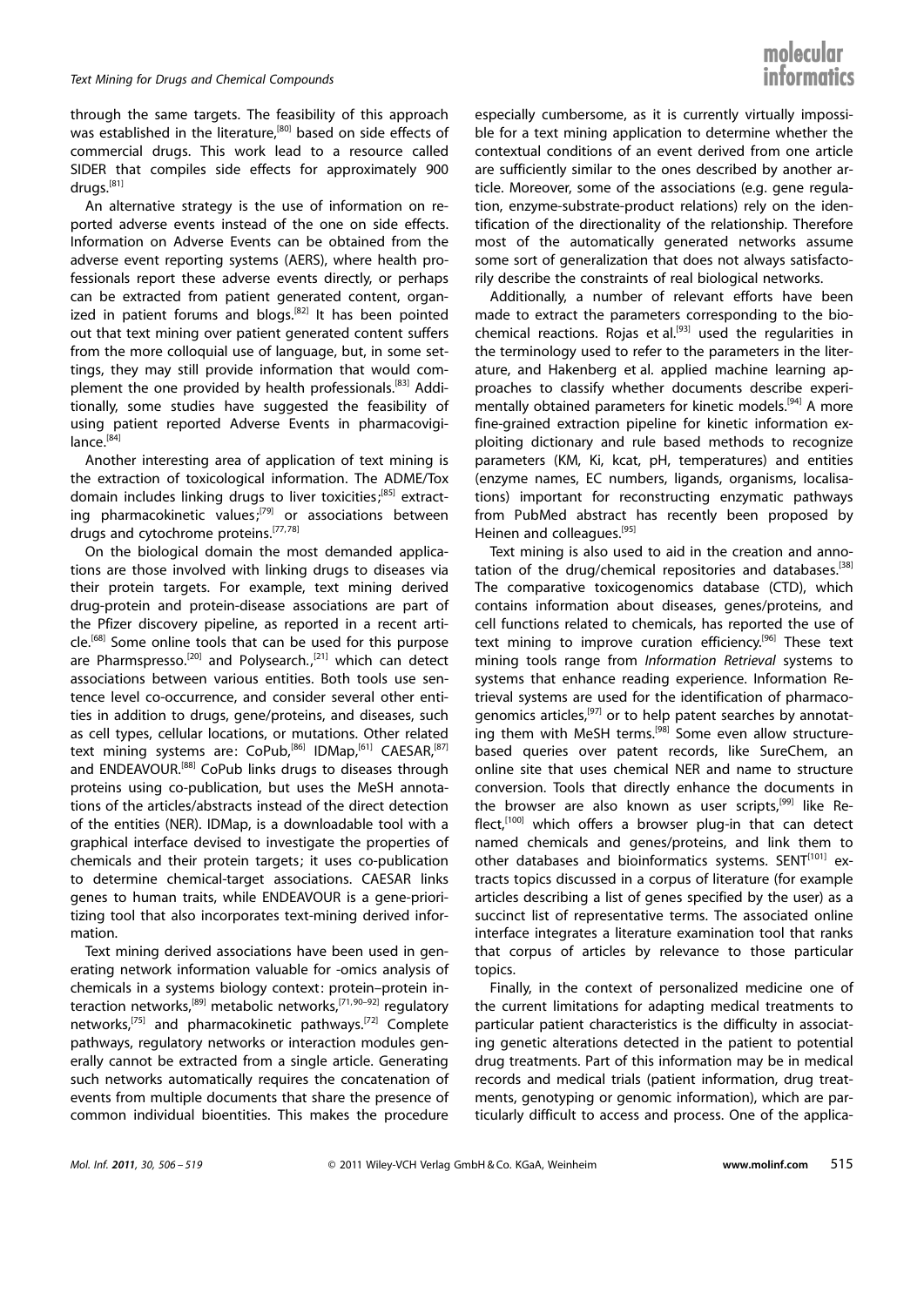through the same targets. The feasibility of this approach was established in the literature,<sup>[80]</sup> based on side effects of commercial drugs. This work lead to a resource called SIDER that compiles side effects for approximately 900 drugs.<sup>[81]</sup>

An alternative strategy is the use of information on reported adverse events instead of the one on side effects. Information on Adverse Events can be obtained from the adverse event reporting systems (AERS), where health professionals report these adverse events directly, or perhaps can be extracted from patient generated content, organized in patient forums and blogs.<sup>[82]</sup> It has been pointed out that text mining over patient generated content suffers from the more colloquial use of language, but, in some settings, they may still provide information that would complement the one provided by health professionals.<sup>[83]</sup> Additionally, some studies have suggested the feasibility of using patient reported Adverse Events in pharmacovigi $lance.<sup>[84]</sup>$ 

Another interesting area of application of text mining is the extraction of toxicological information. The ADME/Tox domain includes linking drugs to liver toxicities;<sup>[85]</sup> extracting pharmacokinetic values; $[79]$  or associations between drugs and cytochrome proteins.<sup>[77,78]</sup>

On the biological domain the most demanded applications are those involved with linking drugs to diseases via their protein targets. For example, text mining derived drug-protein and protein-disease associations are part of the Pfizer discovery pipeline, as reported in a recent article.[68] Some online tools that can be used for this purpose are Pharmspresso.<sup>[20]</sup> and Polysearch.,<sup>[21]</sup> which can detect associations between various entities. Both tools use sentence level co-occurrence, and consider several other entities in addition to drugs, gene/proteins, and diseases, such as cell types, cellular locations, or mutations. Other related text mining systems are: CoPub,<sup>[86]</sup> IDMap,<sup>[61]</sup> CAESAR,<sup>[87]</sup> and ENDEAVOUR.<sup>[88]</sup> CoPub links drugs to diseases through proteins using co-publication, but uses the MeSH annotations of the articles/abstracts instead of the direct detection of the entities (NER). IDMap, is a downloadable tool with a graphical interface devised to investigate the properties of chemicals and their protein targets; it uses co-publication to determine chemical-target associations. CAESAR links genes to human traits, while ENDEAVOUR is a gene-prioritizing tool that also incorporates text-mining derived information.

Text mining derived associations have been used in generating network information valuable for -omics analysis of chemicals in a systems biology context: protein–protein interaction networks,<sup>[89]</sup> metabolic networks,<sup>[71,90-92]</sup> regulatory networks,[75] and pharmacokinetic pathways.[72] Complete pathways, regulatory networks or interaction modules generally cannot be extracted from a single article. Generating such networks automatically requires the concatenation of events from multiple documents that share the presence of common individual bioentities. This makes the procedure

especially cumbersome, as it is currently virtually impossible for a text mining application to determine whether the contextual conditions of an event derived from one article are sufficiently similar to the ones described by another article. Moreover, some of the associations (e.g. gene regulation, enzyme-substrate-product relations) rely on the identification of the directionality of the relationship. Therefore most of the automatically generated networks assume some sort of generalization that does not always satisfactorily describe the constraints of real biological networks.

Additionally, a number of relevant efforts have been made to extract the parameters corresponding to the biochemical reactions. Rojas et al.<sup>[93]</sup> used the regularities in the terminology used to refer to the parameters in the literature, and Hakenberg et al. applied machine learning approaches to classify whether documents describe experimentally obtained parameters for kinetic models.<sup>[94]</sup> A more fine-grained extraction pipeline for kinetic information exploiting dictionary and rule based methods to recognize parameters (KM, Ki, kcat, pH, temperatures) and entities (enzyme names, EC numbers, ligands, organisms, localisations) important for reconstructing enzymatic pathways from PubMed abstract has recently been proposed by Heinen and colleagues.<sup>[95]</sup>

Text mining is also used to aid in the creation and annotation of the drug/chemical repositories and databases.<sup>[38]</sup> The comparative toxicogenomics database (CTD), which contains information about diseases, genes/proteins, and cell functions related to chemicals, has reported the use of text mining to improve curation efficiency.<sup>[96]</sup> These text mining tools range from Information Retrieval systems to systems that enhance reading experience. Information Retrieval systems are used for the identification of pharmacogenomics articles,<sup>[97]</sup> or to help patent searches by annotating them with MeSH terms.<sup>[98]</sup> Some even allow structurebased queries over patent records, like SureChem, an online site that uses chemical NER and name to structure conversion. Tools that directly enhance the documents in the browser are also known as user scripts,<sup>[99]</sup> like Reflect, $[100]$  which offers a browser plug-in that can detect named chemicals and genes/proteins, and link them to other databases and bioinformatics systems. SENT<sup>[101]</sup> extracts topics discussed in a corpus of literature (for example articles describing a list of genes specified by the user) as a succinct list of representative terms. The associated online interface integrates a literature examination tool that ranks that corpus of articles by relevance to those particular topics.

Finally, in the context of personalized medicine one of the current limitations for adapting medical treatments to particular patient characteristics is the difficulty in associating genetic alterations detected in the patient to potential drug treatments. Part of this information may be in medical records and medical trials (patient information, drug treatments, genotyping or genomic information), which are particularly difficult to access and process. One of the applica-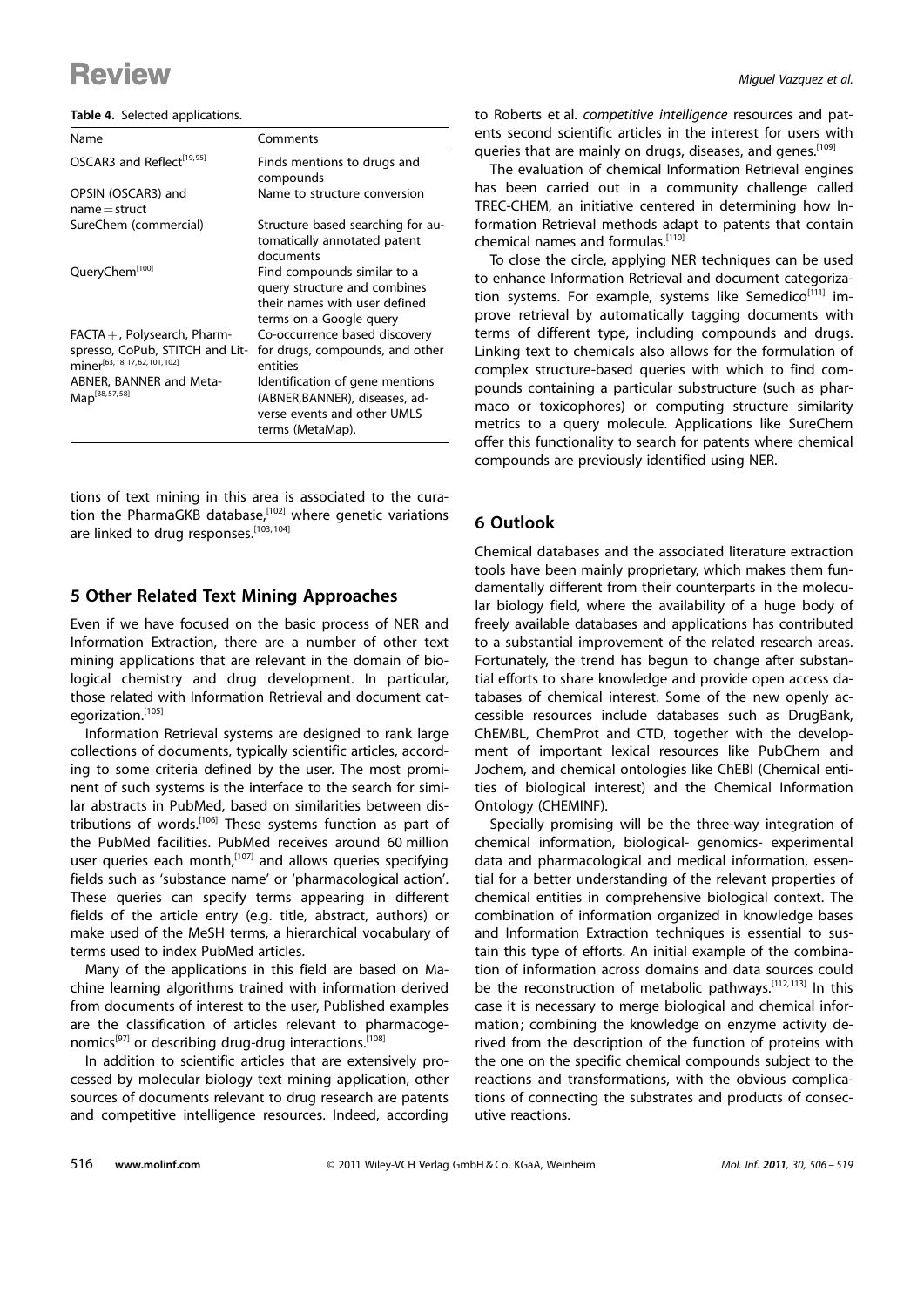#### Table 4. Selected applications.

| Name                                                                                                             | Comments                                                                                                                |
|------------------------------------------------------------------------------------------------------------------|-------------------------------------------------------------------------------------------------------------------------|
| OSCAR3 and Reflect <sup>[19,95]</sup>                                                                            | Finds mentions to drugs and<br>compounds                                                                                |
| OPSIN (OSCAR3) and<br>$name = struct$                                                                            | Name to structure conversion                                                                                            |
| SureChem (commercial)                                                                                            | Structure based searching for au-<br>tomatically annotated patent<br>documents                                          |
| QueryChem <sup>[100]</sup>                                                                                       | Find compounds similar to a<br>query structure and combines<br>their names with user defined<br>terms on a Google query |
| $FACTA +$ , Polysearch, Pharm-<br>spresso, CoPub, STITCH and Lit-<br>miner <sup>[63, 18, 17, 62, 101, 102]</sup> | Co-occurrence based discovery<br>for drugs, compounds, and other<br>entities                                            |
| ABNER, BANNER and Meta-<br>Map <sup>[38, 57, 58]</sup>                                                           | Identification of gene mentions<br>(ABNER, BANNER), diseases, ad-<br>verse events and other UMLS<br>terms (MetaMap).    |

tions of text mining in this area is associated to the curation the PharmaGKB database, $[102]$  where genetic variations are linked to drug responses.<sup>[103, 104]</sup>

# 5 Other Related Text Mining Approaches

Even if we have focused on the basic process of NER and Information Extraction, there are a number of other text mining applications that are relevant in the domain of biological chemistry and drug development. In particular, those related with Information Retrieval and document categorization.<sup>[105]</sup>

Information Retrieval systems are designed to rank large collections of documents, typically scientific articles, according to some criteria defined by the user. The most prominent of such systems is the interface to the search for similar abstracts in PubMed, based on similarities between distributions of words.<sup>[106]</sup> These systems function as part of the PubMed facilities. PubMed receives around 60 million user queries each month.<sup>[107]</sup> and allows queries specifying fields such as 'substance name' or 'pharmacological action'. These queries can specify terms appearing in different fields of the article entry (e.g. title, abstract, authors) or make used of the MeSH terms, a hierarchical vocabulary of terms used to index PubMed articles.

Many of the applications in this field are based on Machine learning algorithms trained with information derived from documents of interest to the user, Published examples are the classification of articles relevant to pharmacogenomics<sup>[97]</sup> or describing drug-drug interactions.<sup>[108]</sup>

In addition to scientific articles that are extensively processed by molecular biology text mining application, other sources of documents relevant to drug research are patents and competitive intelligence resources. Indeed, according to Roberts et al. competitive intelligence resources and patents second scientific articles in the interest for users with queries that are mainly on drugs, diseases, and genes.<sup>[109]</sup>

The evaluation of chemical Information Retrieval engines has been carried out in a community challenge called TREC-CHEM, an initiative centered in determining how Information Retrieval methods adapt to patents that contain chemical names and formulas.[110]

To close the circle, applying NER techniques can be used to enhance Information Retrieval and document categorization systems. For example, systems like Semedico<sup>[111]</sup> improve retrieval by automatically tagging documents with terms of different type, including compounds and drugs. Linking text to chemicals also allows for the formulation of complex structure-based queries with which to find compounds containing a particular substructure (such as pharmaco or toxicophores) or computing structure similarity metrics to a query molecule. Applications like SureChem offer this functionality to search for patents where chemical compounds are previously identified using NER.

# 6 Outlook

Chemical databases and the associated literature extraction tools have been mainly proprietary, which makes them fundamentally different from their counterparts in the molecular biology field, where the availability of a huge body of freely available databases and applications has contributed to a substantial improvement of the related research areas. Fortunately, the trend has begun to change after substantial efforts to share knowledge and provide open access databases of chemical interest. Some of the new openly accessible resources include databases such as DrugBank, ChEMBL, ChemProt and CTD, together with the development of important lexical resources like PubChem and Jochem, and chemical ontologies like ChEBI (Chemical entities of biological interest) and the Chemical Information Ontology (CHEMINF).

Specially promising will be the three-way integration of chemical information, biological- genomics- experimental data and pharmacological and medical information, essential for a better understanding of the relevant properties of chemical entities in comprehensive biological context. The combination of information organized in knowledge bases and Information Extraction techniques is essential to sustain this type of efforts. An initial example of the combination of information across domains and data sources could be the reconstruction of metabolic pathways.<sup>[112, 113]</sup> In this case it is necessary to merge biological and chemical information; combining the knowledge on enzyme activity derived from the description of the function of proteins with the one on the specific chemical compounds subject to the reactions and transformations, with the obvious complications of connecting the substrates and products of consecutive reactions.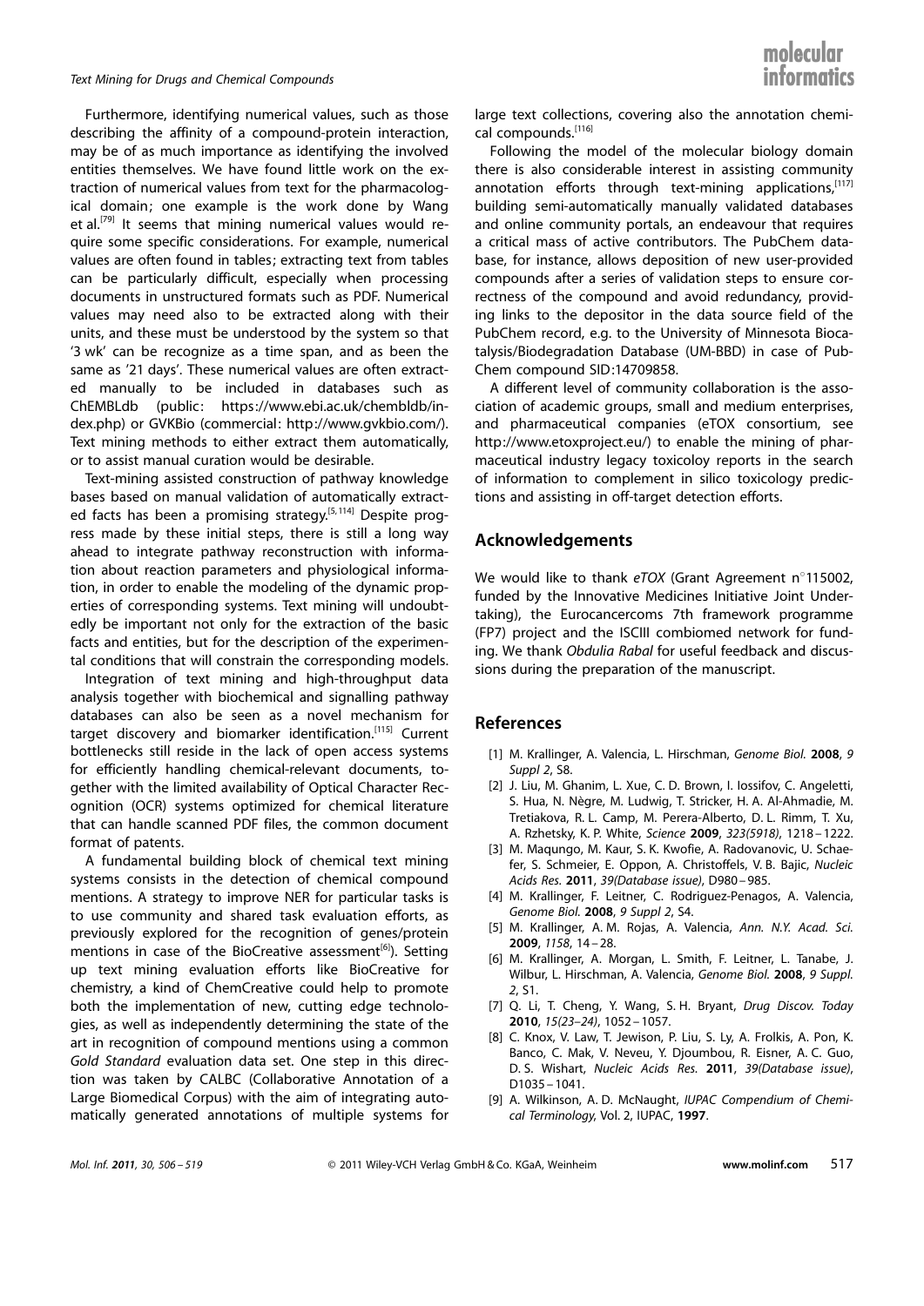#### Text Mining for Drugs and Chemical Compounds

Furthermore, identifying numerical values, such as those describing the affinity of a compound-protein interaction, may be of as much importance as identifying the involved entities themselves. We have found little work on the extraction of numerical values from text for the pharmacological domain; one example is the work done by Wang et al.<sup>[79]</sup> It seems that mining numerical values would require some specific considerations. For example, numerical values are often found in tables; extracting text from tables can be particularly difficult, especially when processing documents in unstructured formats such as PDF. Numerical values may need also to be extracted along with their units, and these must be understood by the system so that '3 wk' can be recognize as a time span, and as been the same as '21 days'. These numerical values are often extracted manually to be included in databases such as ChEMBLdb (public: https://www.ebi.ac.uk/chembldb/index.php) or GVKBio (commercial: http://www.gvkbio.com/). Text mining methods to either extract them automatically, or to assist manual curation would be desirable.

Text-mining assisted construction of pathway knowledge bases based on manual validation of automatically extracted facts has been a promising strategy.<sup>[5,114]</sup> Despite progress made by these initial steps, there is still a long way ahead to integrate pathway reconstruction with information about reaction parameters and physiological information, in order to enable the modeling of the dynamic properties of corresponding systems. Text mining will undoubtedly be important not only for the extraction of the basic facts and entities, but for the description of the experimental conditions that will constrain the corresponding models.

Integration of text mining and high-throughput data analysis together with biochemical and signalling pathway databases can also be seen as a novel mechanism for target discovery and biomarker identification.<sup>[115]</sup> Current bottlenecks still reside in the lack of open access systems for efficiently handling chemical-relevant documents, together with the limited availability of Optical Character Recognition (OCR) systems optimized for chemical literature that can handle scanned PDF files, the common document format of patents.

A fundamental building block of chemical text mining systems consists in the detection of chemical compound mentions. A strategy to improve NER for particular tasks is to use community and shared task evaluation efforts, as previously explored for the recognition of genes/protein mentions in case of the BioCreative assessment<sup>[6]</sup>). Setting up text mining evaluation efforts like BioCreative for chemistry, a kind of ChemCreative could help to promote both the implementation of new, cutting edge technologies, as well as independently determining the state of the art in recognition of compound mentions using a common Gold Standard evaluation data set. One step in this direction was taken by CALBC (Collaborative Annotation of a Large Biomedical Corpus) with the aim of integrating automatically generated annotations of multiple systems for large text collections, covering also the annotation chemical compounds.[116]

Following the model of the molecular biology domain there is also considerable interest in assisting community annotation efforts through text-mining applications, [117] building semi-automatically manually validated databases and online community portals, an endeavour that requires a critical mass of active contributors. The PubChem database, for instance, allows deposition of new user-provided compounds after a series of validation steps to ensure correctness of the compound and avoid redundancy, providing links to the depositor in the data source field of the PubChem record, e.g. to the University of Minnesota Biocatalysis/Biodegradation Database (UM-BBD) in case of Pub-Chem compound SID:14709858.

A different level of community collaboration is the association of academic groups, small and medium enterprises, and pharmaceutical companies (eTOX consortium, see http://www.etoxproject.eu/) to enable the mining of pharmaceutical industry legacy toxicoloy reports in the search of information to complement in silico toxicology predictions and assisting in off-target detection efforts.

### Acknowledgements

We would like to thank  $eTOX$  (Grant Agreement n°115002, funded by the Innovative Medicines Initiative Joint Undertaking), the Eurocancercoms 7th framework programme (FP7) project and the ISCIII combiomed network for funding. We thank Obdulia Rabal for useful feedback and discussions during the preparation of the manuscript.

### References

- [1] M. Krallinger, A. Valencia, L. Hirschman, Genome Biol. 2008, 9 Suppl 2, S8.
- [2] J. Liu, M. Ghanim, L. Xue, C. D. Brown, I. Iossifov, C. Angeletti, S. Hua, N. Nègre, M. Ludwig, T. Stricker, H. A. Al-Ahmadie, M. Tretiakova, R. L. Camp, M. Perera-Alberto, D. L. Rimm, T. Xu, A. Rzhetsky, K. P. White, Science 2009, 323(5918), 1218 – 1222.
- [3] M. Magungo, M. Kaur, S. K. Kwofie, A. Radovanovic, U. Schaefer, S. Schmeier, E. Oppon, A. Christoffels, V. B. Bajic, Nucleic Acids Res. 2011, 39(Database issue), D980 – 985.
- [4] M. Krallinger, F. Leitner, C. Rodriguez-Penagos, A. Valencia, Genome Biol. 2008, 9 Suppl 2, S4.
- [5] M. Krallinger, A. M. Rojas, A. Valencia, Ann. N.Y. Acad. Sci. 2009, 1158, 14 – 28.
- [6] M. Krallinger, A. Morgan, L. Smith, F. Leitner, L. Tanabe, J. Wilbur, L. Hirschman, A. Valencia, Genome Biol. 2008, 9 Suppl. 2, S1.
- [7] Q. Li, T. Cheng, Y. Wang, S. H. Bryant, Drug Discov. Today 2010, 15(23–24), 1052 – 1057.
- [8] C. Knox, V. Law, T. Jewison, P. Liu, S. Ly, A. Frolkis, A. Pon, K. Banco, C. Mak, V. Neveu, Y. Djoumbou, R. Eisner, A. C. Guo, D. S. Wishart, Nucleic Acids Res. 2011, 39(Database issue), D1035 – 1041.
- [9] A. Wilkinson, A. D. McNaught, IUPAC Compendium of Chemical Terminology, Vol. 2, IUPAC, 1997.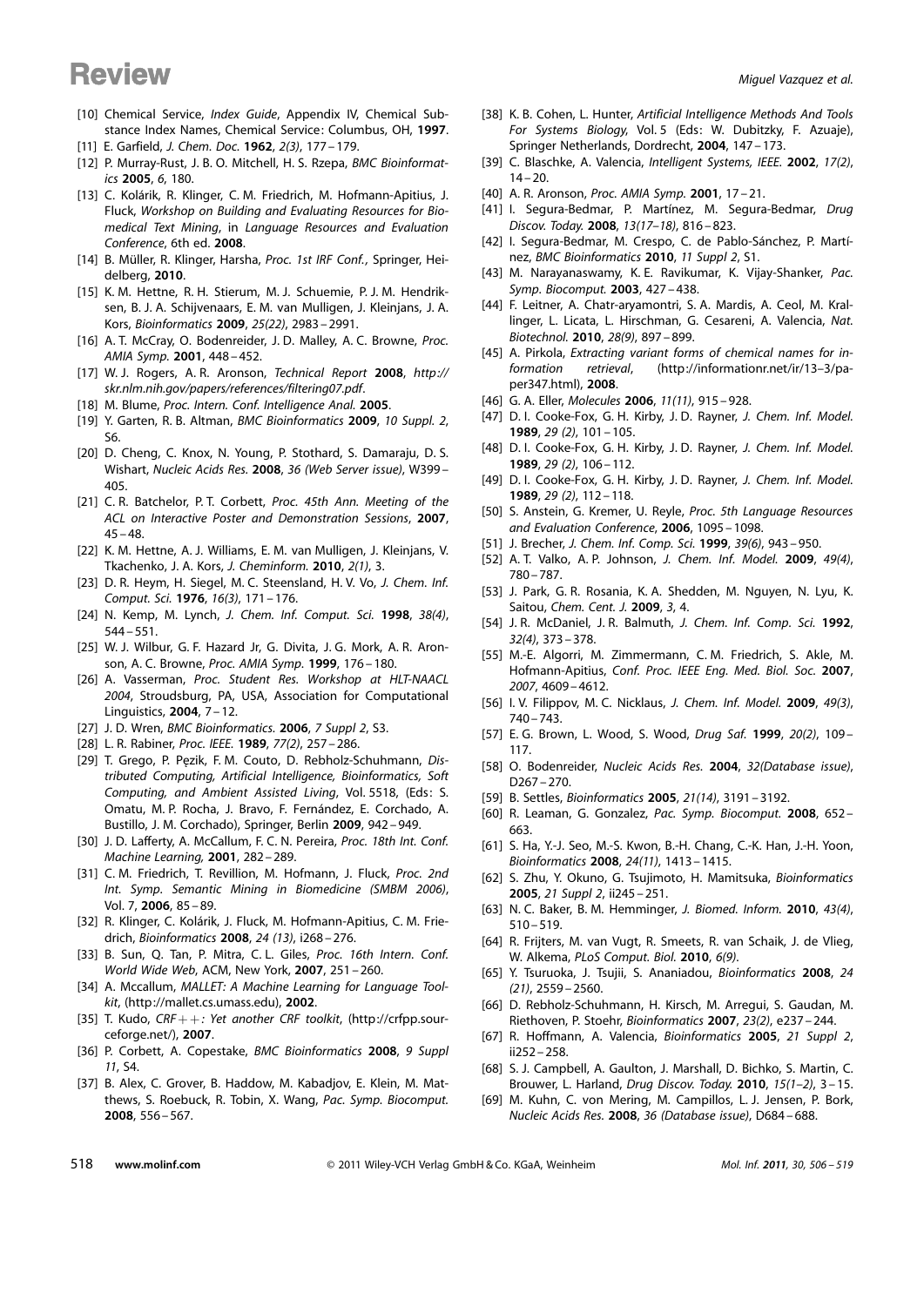- [10] Chemical Service, *Index Guide*, Appendix IV, Chemical Substance Index Names, Chemical Service: Columbus, OH, 1997.
- [11] E. Garfield, J. Chem. Doc. 1962, 2(3), 177-179.
- [12] P. Murray-Rust, J. B. O. Mitchell, H. S. Rzepa, BMC Bioinformatics 2005, 6, 180.
- [13] C. Kolárik, R. Klinger, C. M. Friedrich, M. Hofmann-Apitius, J. Fluck, Workshop on Building and Evaluating Resources for Biomedical Text Mining, in Language Resources and Evaluation Conference, 6th ed. 2008.
- [14] B. Müller, R. Klinger, Harsha, Proc. 1st IRF Conf., Springer, Heidelberg, 2010.
- [15] K. M. Hettne, R. H. Stierum, M. J. Schuemie, P. J. M. Hendriksen, B. J. A. Schijvenaars, E. M. van Mulligen, J. Kleinjans, J. A. Kors, Bioinformatics 2009, 25(22), 2983 – 2991.
- [16] A. T. McCray, O. Bodenreider, J. D. Malley, A. C. Browne, Proc. AMIA Symp. 2001, 448 – 452.
- [17] W. J. Rogers, A. R. Aronson, Technical Report 2008, http:// skr.nlm.nih.gov/papers/references/filtering07.pdf.
- [18] M. Blume, Proc. Intern. Conf. Intelligence Anal. 2005.
- [19] Y. Garten, R. B. Altman, BMC Bioinformatics 2009, 10 Suppl. 2, S6.
- [20] D. Cheng, C. Knox, N. Young, P. Stothard, S. Damaraju, D. S. Wishart, Nucleic Acids Res. 2008, 36 (Web Server issue), W399 – 405.
- [21] C. R. Batchelor, P. T. Corbett, Proc. 45th Ann. Meeting of the ACL on Interactive Poster and Demonstration Sessions, 2007,  $45 - 48.$
- [22] K. M. Hettne, A. J. Williams, E. M. van Mulligen, J. Kleinjans, V. Tkachenko, J. A. Kors, J. Cheminform. 2010, 2(1), 3.
- [23] D. R. Heym, H. Siegel, M. C. Steensland, H. V. Vo, J. Chem. Inf. Comput. Sci. 1976, 16(3), 171 – 176.
- [24] N. Kemp, M. Lynch, J. Chem. Inf. Comput. Sci. 1998, 38(4), 544 – 551.
- [25] W. J. Wilbur, G. F. Hazard Jr, G. Divita, J. G. Mork, A. R. Aronson, A. C. Browne, Proc. AMIA Symp. 1999, 176 – 180.
- [26] A. Vasserman, Proc. Student Res. Workshop at HLT-NAACL 2004, Stroudsburg, PA, USA, Association for Computational Linguistics, 2004, 7 – 12.
- [27] J.D. Wren, BMC Bioinformatics. 2006, 7 Suppl 2, S3.
- [28] L. R. Rabiner, Proc. IEEE. 1989, 77(2), 257 286.
- [29] T. Grego, P. Pęzik, F. M. Couto, D. Rebholz-Schuhmann, Distributed Computing, Artificial Intelligence, Bioinformatics, Soft Computing, and Ambient Assisted Living, Vol. 5518, (Eds: S. Omatu, M. P. Rocha, J. Bravo, F. Fernández, E. Corchado, A. Bustillo, J. M. Corchado), Springer, Berlin 2009, 942 – 949.
- [30] J. D. Lafferty, A. McCallum, F. C. N. Pereira, Proc. 18th Int. Conf. Machine Learning, 2001, 282 – 289.
- [31] C. M. Friedrich, T. Revillion, M. Hofmann, J. Fluck, Proc. 2nd Int. Symp. Semantic Mining in Biomedicine (SMBM 2006), Vol. 7, 2006, 85 – 89.
- [32] R. Klinger, C. Kolárik, J. Fluck, M. Hofmann-Apitius, C. M. Friedrich, Bioinformatics 2008, 24 (13), i268 – 276.
- [33] B. Sun, Q. Tan, P. Mitra, C. L. Giles, Proc. 16th Intern. Conf. World Wide Web, ACM, New York, 2007, 251 – 260.
- [34] A. Mccallum, MALLET: A Machine Learning for Language Toolkit, (http://mallet.cs.umass.edu), 2002.
- [35] T. Kudo,  $CRF++$ : Yet another CRF toolkit, (http://crfpp.sourceforge.net/), 2007.
- [36] P. Corbett, A. Copestake, BMC Bioinformatics 2008, 9 Suppl 11, S4.
- [37] B. Alex, C. Grover, B. Haddow, M. Kabadjov, E. Klein, M. Matthews, S. Roebuck, R. Tobin, X. Wang, Pac. Symp. Biocomput. 2008, 556 – 567.
- [38] K. B. Cohen, L. Hunter, Artificial Intelligence Methods And Tools For Systems Biology, Vol. 5 (Eds: W. Dubitzky, F. Azuaje), Springer Netherlands, Dordrecht, 2004, 147 – 173.
- [39] C. Blaschke, A. Valencia, Intelligent Systems, IEEE. 2002, 17(2),  $14 - 20.$
- [40] A. R. Aronson, Proc. AMIA Symp. 2001, 17 21.
- [41] I. Segura-Bedmar, P. Martínez, M. Segura-Bedmar, Drug Discov. Today. 2008, 13(17–18), 816 – 823.
- [42] I. Segura-Bedmar, M. Crespo, C. de Pablo-Sánchez, P. Martínez, BMC Bioinformatics 2010, 11 Suppl 2, S1.
- [43] M. Narayanaswamy, K. E. Ravikumar, K. Vijay-Shanker, Pac. Symp. Biocomput. 2003, 427 – 438.
- [44] F. Leitner, A. Chatr-aryamontri, S. A. Mardis, A. Ceol, M. Krallinger, L. Licata, L. Hirschman, G. Cesareni, A. Valencia, Nat. Biotechnol. 2010, 28(9), 897 – 899.
- [45] A. Pirkola, Extracting variant forms of chemical names for information retrieval, (http://informationr.net/ir/13–3/paper347.html), 2008.
- [46] G. A. Eller, Molecules 2006, 11(11), 915-928.
- [47] D. I. Cooke-Fox, G. H. Kirby, J. D. Rayner, J. Chem. Inf. Model. 1989, 29 (2), 101 – 105.
- [48] D. I. Cooke-Fox, G. H. Kirby, J. D. Rayner, J. Chem. Inf. Model. 1989, 29 (2), 106 – 112.
- [49] D. I. Cooke-Fox, G. H. Kirby, J. D. Rayner, J. Chem. Inf. Model. 1989, 29 (2), 112 – 118.
- [50] S. Anstein, G. Kremer, U. Reyle, Proc. 5th Language Resources and Evaluation Conference, 2006, 1095 – 1098.
- [51] J. Brecher, J. Chem. Inf. Comp. Sci. 1999, 39(6), 943-950.
- [52] A. T. Valko, A. P. Johnson, J. Chem. Inf. Model. 2009, 49(4), 780 – 787.
- [53] J. Park, G. R. Rosania, K. A. Shedden, M. Nguyen, N. Lyu, K. Saitou, Chem. Cent. J. 2009, 3, 4.
- [54] J. R. McDaniel, J. R. Balmuth, J. Chem. Inf. Comp. Sci. 1992, 32(4), 373 – 378.
- [55] M.-E. Algorri, M. Zimmermann, C. M. Friedrich, S. Akle, M. Hofmann-Apitius, Conf. Proc. IEEE Eng. Med. Biol. Soc. 2007, 2007, 4609 – 4612.
- [56] I.V. Filippov, M.C. Nicklaus, J. Chem. Inf. Model. 2009, 49(3), 740 – 743.
- [57] E. G. Brown, L. Wood, S. Wood, Drug Saf. 1999, 20(2), 109-117.
- [58] O. Bodenreider, Nucleic Acids Res. 2004, 32(Database issue), D267 – 270.
- [59] B. Settles, Bioinformatics 2005, 21(14), 3191-3192.
- [60] R. Leaman, G. Gonzalez, Pac. Symp. Biocomput. 2008, 652-663.
- [61] S. Ha, Y.-J. Seo, M.-S. Kwon, B.-H. Chang, C.-K. Han, J.-H. Yoon, Bioinformatics 2008, 24(11), 1413 – 1415.
- [62] S. Zhu, Y. Okuno, G. Tsujimoto, H. Mamitsuka, Bioinformatics 2005, 21 Suppl 2, ii245 – 251.
- [63] N. C. Baker, B. M. Hemminger, J. Biomed. Inform. 2010, 43(4),  $510 - 519.$
- [64] R. Frijters, M. van Vugt, R. Smeets, R. van Schaik, J. de Vlieg, W. Alkema, PLoS Comput. Biol. 2010, 6(9).
- [65] Y. Tsuruoka, J. Tsujii, S. Ananiadou, Bioinformatics 2008, 24 (21), 2559 – 2560.
- [66] D. Rebholz-Schuhmann, H. Kirsch, M. Arregui, S. Gaudan, M. Riethoven, P. Stoehr, Bioinformatics 2007, 23(2), e237 – 244.
- [67] R. Hoffmann, A. Valencia, Bioinformatics 2005, 21 Suppl 2, ii252 – 258.
- [68] S. J. Campbell, A. Gaulton, J. Marshall, D. Bichko, S. Martin, C. Brouwer, L. Harland, Drug Discov. Today. 2010, 15(1–2), 3 – 15.
- [69] M. Kuhn, C. von Mering, M. Campillos, L. J. Jensen, P. Bork, Nucleic Acids Res. 2008, 36 (Database issue), D684 – 688.